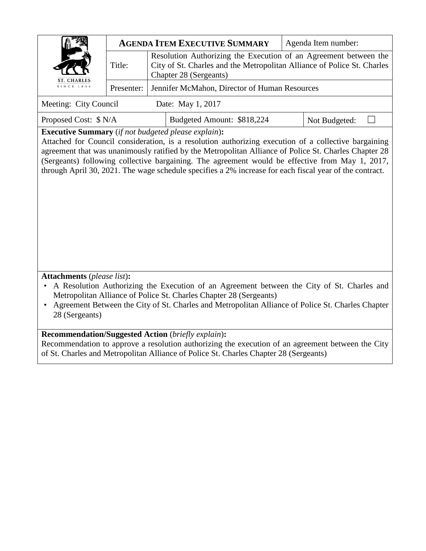|                                                                                                                                                                                                                                                                                                                                                                                                                                                                                           |                                                                                                                                                                                 | <b>AGENDA ITEM EXECUTIVE SUMMARY</b>                                                                                                                                                                                                                    | Agenda Item number: |  |  |
|-------------------------------------------------------------------------------------------------------------------------------------------------------------------------------------------------------------------------------------------------------------------------------------------------------------------------------------------------------------------------------------------------------------------------------------------------------------------------------------------|---------------------------------------------------------------------------------------------------------------------------------------------------------------------------------|---------------------------------------------------------------------------------------------------------------------------------------------------------------------------------------------------------------------------------------------------------|---------------------|--|--|
|                                                                                                                                                                                                                                                                                                                                                                                                                                                                                           | Resolution Authorizing the Execution of an Agreement between the<br>City of St. Charles and the Metropolitan Alliance of Police St. Charles<br>Title:<br>Chapter 28 (Sergeants) |                                                                                                                                                                                                                                                         |                     |  |  |
| ST. CHARLES<br>SINCE 1834                                                                                                                                                                                                                                                                                                                                                                                                                                                                 | Presenter:                                                                                                                                                                      | Jennifer McMahon, Director of Human Resources                                                                                                                                                                                                           |                     |  |  |
| Meeting: City Council                                                                                                                                                                                                                                                                                                                                                                                                                                                                     |                                                                                                                                                                                 | Date: May 1, 2017                                                                                                                                                                                                                                       |                     |  |  |
| Proposed Cost: \$ N/A                                                                                                                                                                                                                                                                                                                                                                                                                                                                     |                                                                                                                                                                                 | Budgeted Amount: \$818,224                                                                                                                                                                                                                              | Not Budgeted:       |  |  |
| <b>Executive Summary</b> (if not budgeted please explain):<br>Attached for Council consideration, is a resolution authorizing execution of a collective bargaining<br>agreement that was unanimously ratified by the Metropolitan Alliance of Police St. Charles Chapter 28<br>(Sergeants) following collective bargaining. The agreement would be effective from May 1, 2017,<br>through April 30, 2021. The wage schedule specifies a 2% increase for each fiscal year of the contract. |                                                                                                                                                                                 |                                                                                                                                                                                                                                                         |                     |  |  |
| <b>Attachments</b> (please list):<br>A Resolution Authorizing the Execution of an Agreement between the City of St. Charles and<br>Metropolitan Alliance of Police St. Charles Chapter 28 (Sergeants)<br>Agreement Between the City of St. Charles and Metropolitan Alliance of Police St. Charles Chapter<br>28 (Sergeants)                                                                                                                                                              |                                                                                                                                                                                 |                                                                                                                                                                                                                                                         |                     |  |  |
|                                                                                                                                                                                                                                                                                                                                                                                                                                                                                           |                                                                                                                                                                                 | <b>Recommendation/Suggested Action</b> (briefly explain):<br>Recommendation to approve a resolution authorizing the execution of an agreement between the City<br>of St. Charles and Metropolitan Alliance of Police St. Charles Chapter 28 (Sergeants) |                     |  |  |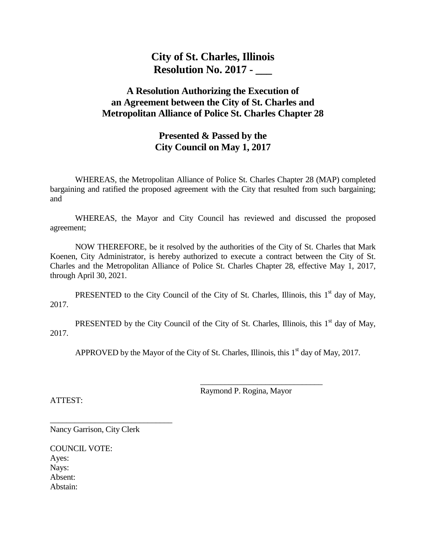**City of St. Charles, Illinois Resolution No. 2017 - \_\_\_**

## **A Resolution Authorizing the Execution of an Agreement between the City of St. Charles and Metropolitan Alliance of Police St. Charles Chapter 28**

## **Presented & Passed by the City Council on May 1, 2017**

WHEREAS, the Metropolitan Alliance of Police St. Charles Chapter 28 (MAP) completed bargaining and ratified the proposed agreement with the City that resulted from such bargaining; and

WHEREAS, the Mayor and City Council has reviewed and discussed the proposed agreement;

NOW THEREFORE, be it resolved by the authorities of the City of St. Charles that Mark Koenen, City Administrator, is hereby authorized to execute a contract between the City of St. Charles and the Metropolitan Alliance of Police St. Charles Chapter 28, effective May 1, 2017, through April 30, 2021.

PRESENTED to the City Council of the City of St. Charles, Illinois, this  $1<sup>st</sup>$  day of May, 2017.

PRESENTED by the City Council of the City of St. Charles, Illinois, this  $1<sup>st</sup>$  day of May, 2017.

APPROVED by the Mayor of the City of St. Charles, Illinois, this  $1<sup>st</sup>$  day of May, 2017.

Raymond P. Rogina, Mayor

\_\_\_\_\_\_\_\_\_\_\_\_\_\_\_\_\_\_\_\_\_\_\_\_\_\_\_\_\_\_

ATTEST:

\_\_\_\_\_\_\_\_\_\_\_\_\_\_\_\_\_\_\_\_\_\_\_\_\_\_\_\_\_\_ Nancy Garrison, City Clerk

COUNCIL VOTE: Ayes: Nays: Absent: Abstain: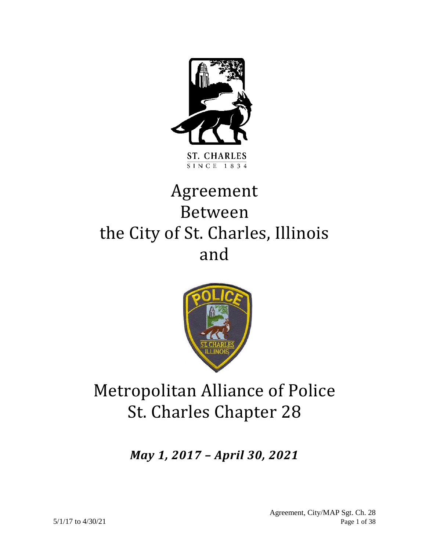

# Agreement Between the City of St. Charles, Illinois and



## Metropolitan Alliance of Police St. Charles Chapter 28

*May 1, 2017 – April 30, 2021*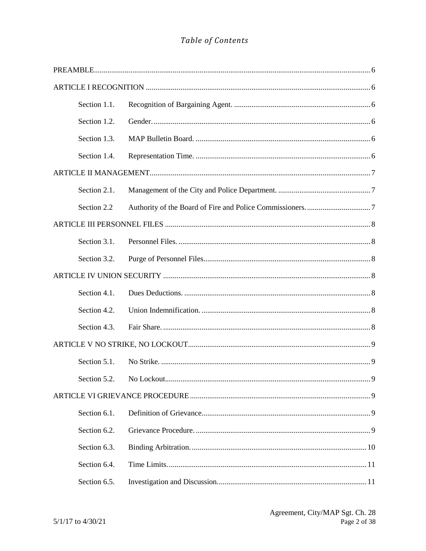## Table of Contents

| Section 1.1. |  |
|--------------|--|
| Section 1.2. |  |
| Section 1.3. |  |
| Section 1.4. |  |
|              |  |
| Section 2.1. |  |
| Section 2.2  |  |
|              |  |
| Section 3.1. |  |
| Section 3.2. |  |
|              |  |
| Section 4.1. |  |
| Section 4.2. |  |
| Section 4.3. |  |
|              |  |
| Section 5.1. |  |
|              |  |
|              |  |
| Section 6.1. |  |
| Section 6.2. |  |
| Section 6.3. |  |
| Section 6.4. |  |
| Section 6.5. |  |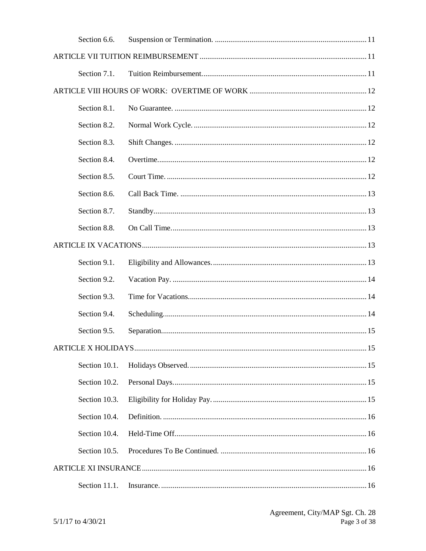| Section 6.6.  |  |
|---------------|--|
|               |  |
| Section 7.1.  |  |
|               |  |
| Section 8.1.  |  |
| Section 8.2.  |  |
| Section 8.3.  |  |
| Section 8.4.  |  |
| Section 8.5.  |  |
| Section 8.6.  |  |
| Section 8.7.  |  |
| Section 8.8.  |  |
|               |  |
| Section 9.1.  |  |
| Section 9.2.  |  |
| Section 9.3.  |  |
| Section 9.4.  |  |
| Section 9.5.  |  |
|               |  |
| Section 10.1. |  |
| Section 10.2. |  |
| Section 10.3. |  |
| Section 10.4. |  |
| Section 10.4. |  |
| Section 10.5. |  |
|               |  |
| Section 11.1. |  |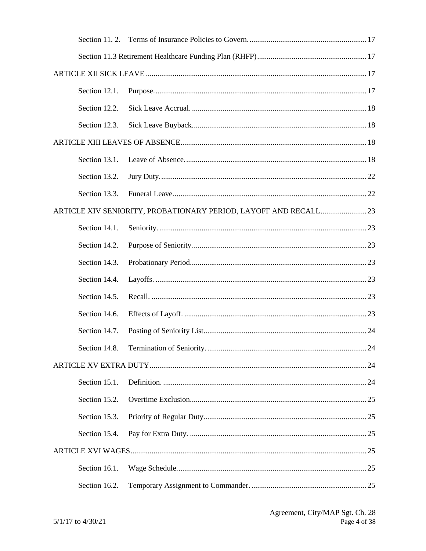| Section 12.1. |                                                                  |  |
|---------------|------------------------------------------------------------------|--|
| Section 12.2. |                                                                  |  |
| Section 12.3. |                                                                  |  |
|               |                                                                  |  |
| Section 13.1. |                                                                  |  |
| Section 13.2. |                                                                  |  |
| Section 13.3. |                                                                  |  |
|               | ARTICLE XIV SENIORITY, PROBATIONARY PERIOD, LAYOFF AND RECALL 23 |  |
| Section 14.1. |                                                                  |  |
| Section 14.2. |                                                                  |  |
| Section 14.3. |                                                                  |  |
| Section 14.4. |                                                                  |  |
| Section 14.5. |                                                                  |  |
| Section 14.6. |                                                                  |  |
| Section 14.7. |                                                                  |  |
|               |                                                                  |  |
|               |                                                                  |  |
| Section 15.1. |                                                                  |  |
| Section 15.2. |                                                                  |  |
| Section 15.3. |                                                                  |  |
| Section 15.4. |                                                                  |  |
|               |                                                                  |  |
| Section 16.1. |                                                                  |  |
| Section 16.2. |                                                                  |  |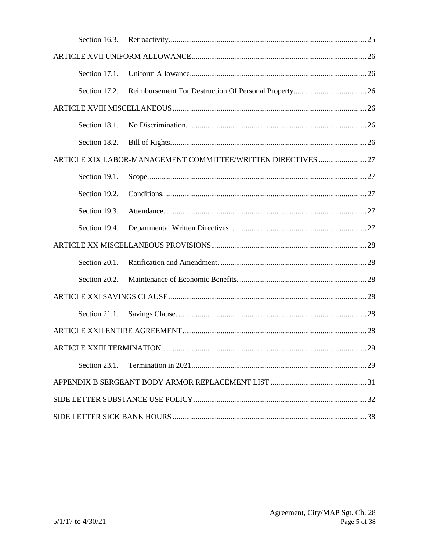| Section 16.3. |                                                               |  |
|---------------|---------------------------------------------------------------|--|
|               |                                                               |  |
| Section 17.1. |                                                               |  |
| Section 17.2. |                                                               |  |
|               |                                                               |  |
| Section 18.1. |                                                               |  |
| Section 18.2. |                                                               |  |
|               | ARTICLE XIX LABOR-MANAGEMENT COMMITTEE/WRITTEN DIRECTIVES  27 |  |
| Section 19.1. |                                                               |  |
| Section 19.2. |                                                               |  |
| Section 19.3. |                                                               |  |
| Section 19.4. |                                                               |  |
|               |                                                               |  |
| Section 20.1. |                                                               |  |
| Section 20.2. |                                                               |  |
|               |                                                               |  |
| Section 21.1. |                                                               |  |
|               |                                                               |  |
|               |                                                               |  |
| Section 23.1. |                                                               |  |
|               |                                                               |  |
|               |                                                               |  |
|               |                                                               |  |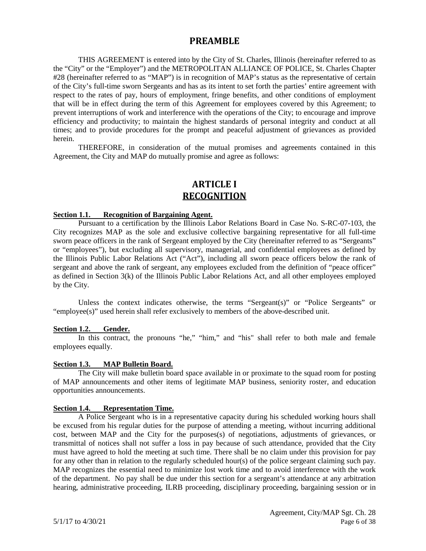## **PREAMBLE**

<span id="page-7-0"></span>THIS AGREEMENT is entered into by the City of St. Charles, Illinois (hereinafter referred to as the "City" or the "Employer") and the METROPOLITAN ALLIANCE OF POLICE, St. Charles Chapter #28 (hereinafter referred to as "MAP") is in recognition of MAP's status as the representative of certain of the City's full-time sworn Sergeants and has as its intent to set forth the parties' entire agreement with respect to the rates of pay, hours of employment, fringe benefits, and other conditions of employment that will be in effect during the term of this Agreement for employees covered by this Agreement; to prevent interruptions of work and interference with the operations of the City; to encourage and improve efficiency and productivity; to maintain the highest standards of personal integrity and conduct at all times; and to provide procedures for the prompt and peaceful adjustment of grievances as provided herein.

THEREFORE, in consideration of the mutual promises and agreements contained in this Agreement, the City and MAP do mutually promise and agree as follows:

## **ARTICLE I RECOGNITION**

#### <span id="page-7-2"></span><span id="page-7-1"></span>**Section 1.1. Recognition of Bargaining Agent.**

Pursuant to a certification by the Illinois Labor Relations Board in Case No. S-RC-07-103, the City recognizes MAP as the sole and exclusive collective bargaining representative for all full-time sworn peace officers in the rank of Sergeant employed by the City (hereinafter referred to as "Sergeants" or "employees"), but excluding all supervisory, managerial, and confidential employees as defined by the Illinois Public Labor Relations Act ("Act"), including all sworn peace officers below the rank of sergeant and above the rank of sergeant, any employees excluded from the definition of "peace officer" as defined in Section 3(k) of the Illinois Public Labor Relations Act, and all other employees employed by the City.

Unless the context indicates otherwise, the terms "Sergeant(s)" or "Police Sergeants" or "employee(s)" used herein shall refer exclusively to members of the above-described unit.

#### <span id="page-7-3"></span>**Section 1.2. Gender.**

In this contract, the pronouns "he," "him," and "his" shall refer to both male and female employees equally.

#### <span id="page-7-4"></span>**Section 1.3. MAP Bulletin Board.**

The City will make bulletin board space available in or proximate to the squad room for posting of MAP announcements and other items of legitimate MAP business, seniority roster, and education opportunities announcements.

#### <span id="page-7-5"></span>**Section 1.4. Representation Time.**

A Police Sergeant who is in a representative capacity during his scheduled working hours shall be excused from his regular duties for the purpose of attending a meeting, without incurring additional cost, between MAP and the City for the purposes(s) of negotiations, adjustments of grievances, or transmittal of notices shall not suffer a loss in pay because of such attendance, provided that the City must have agreed to hold the meeting at such time. There shall be no claim under this provision for pay for any other than in relation to the regularly scheduled hour(s) of the police sergeant claiming such pay. MAP recognizes the essential need to minimize lost work time and to avoid interference with the work of the department. No pay shall be due under this section for a sergeant's attendance at any arbitration hearing, administrative proceeding, ILRB proceeding, disciplinary proceeding, bargaining session or in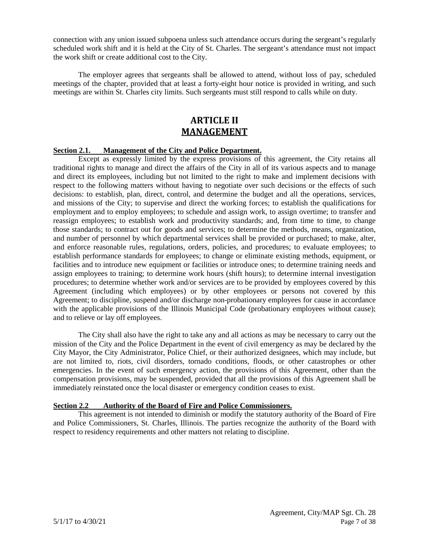connection with any union issued subpoena unless such attendance occurs during the sergeant's regularly scheduled work shift and it is held at the City of St. Charles. The sergeant's attendance must not impact the work shift or create additional cost to the City.

The employer agrees that sergeants shall be allowed to attend, without loss of pay, scheduled meetings of the chapter, provided that at least a forty-eight hour notice is provided in writing, and such meetings are within St. Charles city limits. Such sergeants must still respond to calls while on duty.

## **ARTICLE II MANAGEMENT**

#### <span id="page-8-1"></span><span id="page-8-0"></span>**Section 2.1. Management of the City and Police Department.**

Except as expressly limited by the express provisions of this agreement, the City retains all traditional rights to manage and direct the affairs of the City in all of its various aspects and to manage and direct its employees, including but not limited to the right to make and implement decisions with respect to the following matters without having to negotiate over such decisions or the effects of such decisions: to establish, plan, direct, control, and determine the budget and all the operations, services, and missions of the City; to supervise and direct the working forces; to establish the qualifications for employment and to employ employees; to schedule and assign work, to assign overtime; to transfer and reassign employees; to establish work and productivity standards; and, from time to time, to change those standards; to contract out for goods and services; to determine the methods, means, organization, and number of personnel by which departmental services shall be provided or purchased; to make, alter, and enforce reasonable rules, regulations, orders, policies, and procedures; to evaluate employees; to establish performance standards for employees; to change or eliminate existing methods, equipment, or facilities and to introduce new equipment or facilities or introduce ones; to determine training needs and assign employees to training; to determine work hours (shift hours); to determine internal investigation procedures; to determine whether work and/or services are to be provided by employees covered by this Agreement (including which employees) or by other employees or persons not covered by this Agreement; to discipline, suspend and/or discharge non-probationary employees for cause in accordance with the applicable provisions of the Illinois Municipal Code (probationary employees without cause); and to relieve or lay off employees.

The City shall also have the right to take any and all actions as may be necessary to carry out the mission of the City and the Police Department in the event of civil emergency as may be declared by the City Mayor, the City Administrator, Police Chief, or their authorized designees, which may include, but are not limited to, riots, civil disorders, tornado conditions, floods, or other catastrophes or other emergencies. In the event of such emergency action, the provisions of this Agreement, other than the compensation provisions, may be suspended, provided that all the provisions of this Agreement shall be immediately reinstated once the local disaster or emergency condition ceases to exist.

#### <span id="page-8-2"></span>**Section 2.2 Authority of the Board of Fire and Police Commissioners.**

This agreement is not intended to diminish or modify the statutory authority of the Board of Fire and Police Commissioners, St. Charles, Illinois. The parties recognize the authority of the Board with respect to residency requirements and other matters not relating to discipline.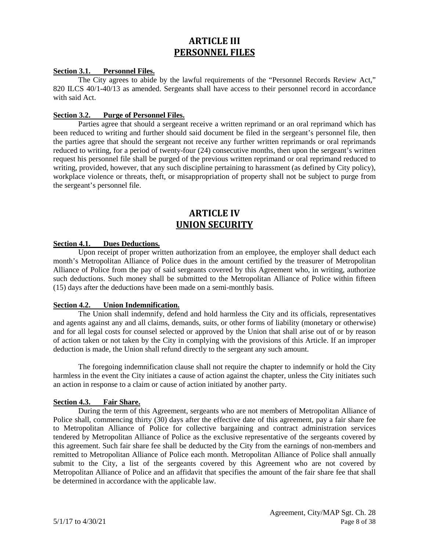## **ARTICLE III PERSONNEL FILES**

#### <span id="page-9-1"></span><span id="page-9-0"></span>**Section 3.1. Personnel Files.**

The City agrees to abide by the lawful requirements of the "Personnel Records Review Act," 820 ILCS 40/1-40/13 as amended. Sergeants shall have access to their personnel record in accordance with said Act.

#### <span id="page-9-2"></span>**Section 3.2. Purge of Personnel Files.**

Parties agree that should a sergeant receive a written reprimand or an oral reprimand which has been reduced to writing and further should said document be filed in the sergeant's personnel file, then the parties agree that should the sergeant not receive any further written reprimands or oral reprimands reduced to writing, for a period of twenty-four (24) consecutive months, then upon the sergeant's written request his personnel file shall be purged of the previous written reprimand or oral reprimand reduced to writing, provided, however, that any such discipline pertaining to harassment (as defined by City policy), workplace violence or threats, theft, or misappropriation of property shall not be subject to purge from the sergeant's personnel file.

## **ARTICLE IV UNION SECURITY**

#### <span id="page-9-4"></span><span id="page-9-3"></span>**Section 4.1. Dues Deductions.**

Upon receipt of proper written authorization from an employee, the employer shall deduct each month's Metropolitan Alliance of Police dues in the amount certified by the treasurer of Metropolitan Alliance of Police from the pay of said sergeants covered by this Agreement who, in writing, authorize such deductions. Such money shall be submitted to the Metropolitan Alliance of Police within fifteen (15) days after the deductions have been made on a semi-monthly basis.

#### <span id="page-9-5"></span>**Section 4.2. Union Indemnification.**

The Union shall indemnify, defend and hold harmless the City and its officials, representatives and agents against any and all claims, demands, suits, or other forms of liability (monetary or otherwise) and for all legal costs for counsel selected or approved by the Union that shall arise out of or by reason of action taken or not taken by the City in complying with the provisions of this Article. If an improper deduction is made, the Union shall refund directly to the sergeant any such amount.

The foregoing indemnification clause shall not require the chapter to indemnify or hold the City harmless in the event the City initiates a cause of action against the chapter, unless the City initiates such an action in response to a claim or cause of action initiated by another party.

#### <span id="page-9-6"></span>**Section 4.3. Fair Share.**

During the term of this Agreement, sergeants who are not members of Metropolitan Alliance of Police shall, commencing thirty (30) days after the effective date of this agreement, pay a fair share fee to Metropolitan Alliance of Police for collective bargaining and contract administration services tendered by Metropolitan Alliance of Police as the exclusive representative of the sergeants covered by this agreement. Such fair share fee shall be deducted by the City from the earnings of non-members and remitted to Metropolitan Alliance of Police each month. Metropolitan Alliance of Police shall annually submit to the City, a list of the sergeants covered by this Agreement who are not covered by Metropolitan Alliance of Police and an affidavit that specifies the amount of the fair share fee that shall be determined in accordance with the applicable law.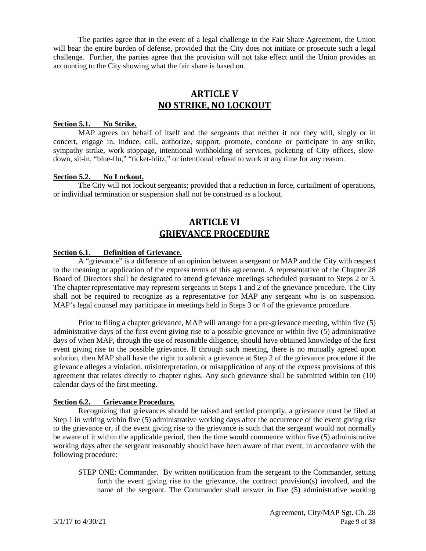The parties agree that in the event of a legal challenge to the Fair Share Agreement, the Union will bear the entire burden of defense, provided that the City does not initiate or prosecute such a legal challenge. Further, the parties agree that the provision will not take effect until the Union provides an accounting to the City showing what the fair share is based on.

## **ARTICLE V NO STRIKE, NO LOCKOUT**

#### <span id="page-10-1"></span><span id="page-10-0"></span>**Section 5.1. No Strike.**

MAP agrees on behalf of itself and the sergeants that neither it nor they will, singly or in concert, engage in, induce, call, authorize, support, promote, condone or participate in any strike, sympathy strike, work stoppage, intentional withholding of services, picketing of City offices, slowdown, sit-in, "blue-flu," "ticket-blitz," or intentional refusal to work at any time for any reason.

#### <span id="page-10-2"></span>**Section 5.2. No Lockout.**

The City will not lockout sergeants; provided that a reduction in force, curtailment of operations, or individual termination or suspension shall not be construed as a lockout.

## **ARTICLE VI GRIEVANCE PROCEDURE**

#### <span id="page-10-4"></span><span id="page-10-3"></span>**Section 6.1. Definition of Grievance.**

A "grievance" is a difference of an opinion between a sergeant or MAP and the City with respect to the meaning or application of the express terms of this agreement. A representative of the Chapter 28 Board of Directors shall be designated to attend grievance meetings scheduled pursuant to Steps 2 or 3. The chapter representative may represent sergeants in Steps 1 and 2 of the grievance procedure. The City shall not be required to recognize as a representative for MAP any sergeant who is on suspension. MAP's legal counsel may participate in meetings held in Steps 3 or 4 of the grievance procedure.

Prior to filing a chapter grievance, MAP will arrange for a pre-grievance meeting, within five (5) administrative days of the first event giving rise to a possible grievance or within five (5) administrative days of when MAP, through the use of reasonable diligence, should have obtained knowledge of the first event giving rise to the possible grievance. If through such meeting, there is no mutually agreed upon solution, then MAP shall have the right to submit a grievance at Step 2 of the grievance procedure if the grievance alleges a violation, misinterpretation, or misapplication of any of the express provisions of this agreement that relates directly to chapter rights. Any such grievance shall be submitted within ten (10) calendar days of the first meeting.

#### <span id="page-10-5"></span>**Section 6.2. Grievance Procedure.**

Recognizing that grievances should be raised and settled promptly, a grievance must be filed at Step 1 in writing within five (5) administrative working days after the occurrence of the event giving rise to the grievance or, if the event giving rise to the grievance is such that the sergeant would not normally be aware of it within the applicable period, then the time would commence within five (5) administrative working days after the sergeant reasonably should have been aware of that event, in accordance with the following procedure:

STEP ONE: Commander. By written notification from the sergeant to the Commander, setting forth the event giving rise to the grievance, the contract provision(s) involved, and the name of the sergeant. The Commander shall answer in five (5) administrative working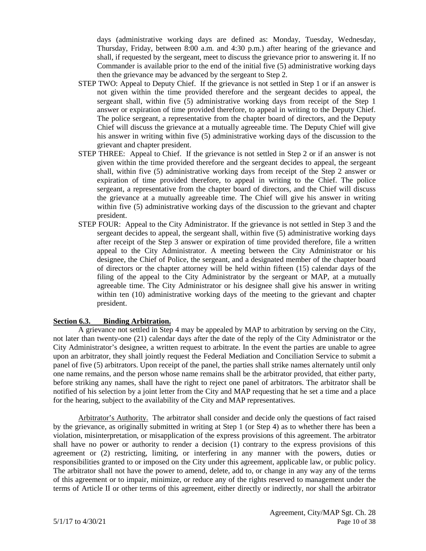days (administrative working days are defined as: Monday, Tuesday, Wednesday, Thursday, Friday, between 8:00 a.m. and 4:30 p.m.) after hearing of the grievance and shall, if requested by the sergeant, meet to discuss the grievance prior to answering it. If no Commander is available prior to the end of the initial five (5) administrative working days then the grievance may be advanced by the sergeant to Step 2.

- STEP TWO: Appeal to Deputy Chief. If the grievance is not settled in Step 1 or if an answer is not given within the time provided therefore and the sergeant decides to appeal, the sergeant shall, within five (5) administrative working days from receipt of the Step 1 answer or expiration of time provided therefore, to appeal in writing to the Deputy Chief. The police sergeant, a representative from the chapter board of directors, and the Deputy Chief will discuss the grievance at a mutually agreeable time. The Deputy Chief will give his answer in writing within five (5) administrative working days of the discussion to the grievant and chapter president.
- STEP THREE: Appeal to Chief. If the grievance is not settled in Step 2 or if an answer is not given within the time provided therefore and the sergeant decides to appeal, the sergeant shall, within five (5) administrative working days from receipt of the Step 2 answer or expiration of time provided therefore, to appeal in writing to the Chief. The police sergeant, a representative from the chapter board of directors, and the Chief will discuss the grievance at a mutually agreeable time. The Chief will give his answer in writing within five (5) administrative working days of the discussion to the grievant and chapter president.
- STEP FOUR: Appeal to the City Administrator. If the grievance is not settled in Step 3 and the sergeant decides to appeal, the sergeant shall, within five (5) administrative working days after receipt of the Step 3 answer or expiration of time provided therefore, file a written appeal to the City Administrator. A meeting between the City Administrator or his designee, the Chief of Police, the sergeant, and a designated member of the chapter board of directors or the chapter attorney will be held within fifteen (15) calendar days of the filing of the appeal to the City Administrator by the sergeant or MAP, at a mutually agreeable time. The City Administrator or his designee shall give his answer in writing within ten (10) administrative working days of the meeting to the grievant and chapter president.

#### <span id="page-11-0"></span>**Section 6.3. Binding Arbitration.**

A grievance not settled in Step 4 may be appealed by MAP to arbitration by serving on the City, not later than twenty-one (21) calendar days after the date of the reply of the City Administrator or the City Administrator's designee, a written request to arbitrate. In the event the parties are unable to agree upon an arbitrator, they shall jointly request the Federal Mediation and Conciliation Service to submit a panel of five (5) arbitrators. Upon receipt of the panel, the parties shall strike names alternately until only one name remains, and the person whose name remains shall be the arbitrator provided, that either party, before striking any names, shall have the right to reject one panel of arbitrators. The arbitrator shall be notified of his selection by a joint letter from the City and MAP requesting that he set a time and a place for the hearing, subject to the availability of the City and MAP representatives.

Arbitrator's Authority. The arbitrator shall consider and decide only the questions of fact raised by the grievance, as originally submitted in writing at Step 1 (or Step 4) as to whether there has been a violation, misinterpretation, or misapplication of the express provisions of this agreement. The arbitrator shall have no power or authority to render a decision (1) contrary to the express provisions of this agreement or (2) restricting, limiting, or interfering in any manner with the powers, duties or responsibilities granted to or imposed on the City under this agreement, applicable law, or public policy. The arbitrator shall not have the power to amend, delete, add to, or change in any way any of the terms of this agreement or to impair, minimize, or reduce any of the rights reserved to management under the terms of Article II or other terms of this agreement, either directly or indirectly, nor shall the arbitrator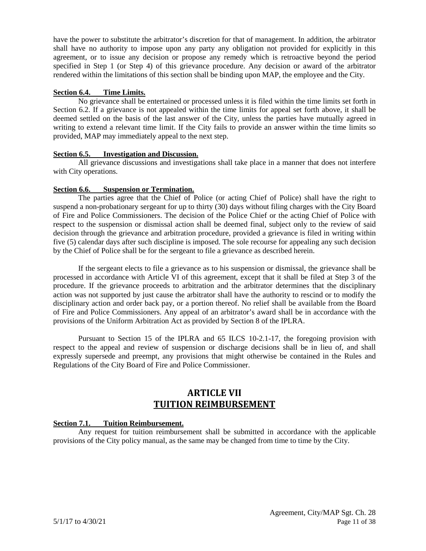have the power to substitute the arbitrator's discretion for that of management. In addition, the arbitrator shall have no authority to impose upon any party any obligation not provided for explicitly in this agreement, or to issue any decision or propose any remedy which is retroactive beyond the period specified in Step 1 (or Step 4) of this grievance procedure. Any decision or award of the arbitrator rendered within the limitations of this section shall be binding upon MAP, the employee and the City.

#### <span id="page-12-0"></span>**Section 6.4. Time Limits.**

No grievance shall be entertained or processed unless it is filed within the time limits set forth in Section 6.2. If a grievance is not appealed within the time limits for appeal set forth above, it shall be deemed settled on the basis of the last answer of the City, unless the parties have mutually agreed in writing to extend a relevant time limit. If the City fails to provide an answer within the time limits so provided, MAP may immediately appeal to the next step.

#### <span id="page-12-1"></span>**Section 6.5. Investigation and Discussion.**

All grievance discussions and investigations shall take place in a manner that does not interfere with City operations.

#### <span id="page-12-2"></span>**Section 6.6. Suspension or Termination.**

The parties agree that the Chief of Police (or acting Chief of Police) shall have the right to suspend a non-probationary sergeant for up to thirty (30) days without filing charges with the City Board of Fire and Police Commissioners. The decision of the Police Chief or the acting Chief of Police with respect to the suspension or dismissal action shall be deemed final, subject only to the review of said decision through the grievance and arbitration procedure, provided a grievance is filed in writing within five (5) calendar days after such discipline is imposed. The sole recourse for appealing any such decision by the Chief of Police shall be for the sergeant to file a grievance as described herein.

If the sergeant elects to file a grievance as to his suspension or dismissal, the grievance shall be processed in accordance with Article VI of this agreement, except that it shall be filed at Step 3 of the procedure. If the grievance proceeds to arbitration and the arbitrator determines that the disciplinary action was not supported by just cause the arbitrator shall have the authority to rescind or to modify the disciplinary action and order back pay, or a portion thereof. No relief shall be available from the Board of Fire and Police Commissioners. Any appeal of an arbitrator's award shall be in accordance with the provisions of the Uniform Arbitration Act as provided by Section 8 of the IPLRA.

Pursuant to Section 15 of the IPLRA and 65 ILCS 10-2.1-17, the foregoing provision with respect to the appeal and review of suspension or discharge decisions shall be in lieu of, and shall expressly supersede and preempt, any provisions that might otherwise be contained in the Rules and Regulations of the City Board of Fire and Police Commissioner.

## **ARTICLE VII TUITION REIMBURSEMENT**

#### <span id="page-12-4"></span><span id="page-12-3"></span>**Section 7.1. Tuition Reimbursement.**

Any request for tuition reimbursement shall be submitted in accordance with the applicable provisions of the City policy manual, as the same may be changed from time to time by the City.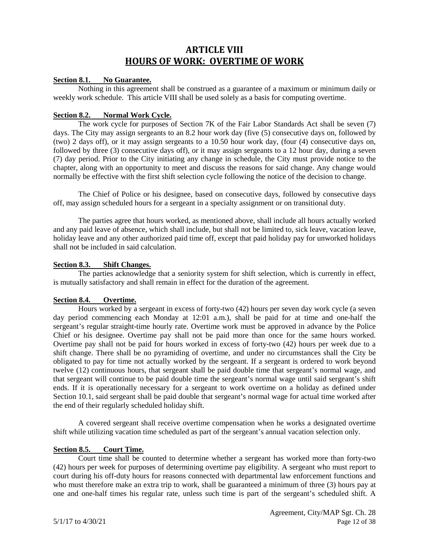## **ARTICLE VIII HOURS OF WORK: OVERTIME OF WORK**

#### <span id="page-13-1"></span><span id="page-13-0"></span>**Section 8.1. No Guarantee.**

Nothing in this agreement shall be construed as a guarantee of a maximum or minimum daily or weekly work schedule. This article VIII shall be used solely as a basis for computing overtime.

#### <span id="page-13-2"></span>**Section 8.2. Normal Work Cycle.**

The work cycle for purposes of Section 7K of the Fair Labor Standards Act shall be seven (7) days. The City may assign sergeants to an 8.2 hour work day (five (5) consecutive days on, followed by (two) 2 days off), or it may assign sergeants to a 10.50 hour work day, (four (4) consecutive days on, followed by three (3) consecutive days off), or it may assign sergeants to a 12 hour day, during a seven (7) day period. Prior to the City initiating any change in schedule, the City must provide notice to the chapter, along with an opportunity to meet and discuss the reasons for said change. Any change would normally be effective with the first shift selection cycle following the notice of the decision to change.

The Chief of Police or his designee, based on consecutive days, followed by consecutive days off, may assign scheduled hours for a sergeant in a specialty assignment or on transitional duty.

The parties agree that hours worked, as mentioned above, shall include all hours actually worked and any paid leave of absence, which shall include, but shall not be limited to, sick leave, vacation leave, holiday leave and any other authorized paid time off, except that paid holiday pay for unworked holidays shall not be included in said calculation.

#### <span id="page-13-3"></span>**Section 8.3. Shift Changes.**

The parties acknowledge that a seniority system for shift selection, which is currently in effect, is mutually satisfactory and shall remain in effect for the duration of the agreement.

#### <span id="page-13-4"></span>**Section 8.4. Overtime.**

Hours worked by a sergeant in excess of forty-two (42) hours per seven day work cycle (a seven day period commencing each Monday at 12:01 a.m.), shall be paid for at time and one-half the sergeant's regular straight-time hourly rate. Overtime work must be approved in advance by the Police Chief or his designee. Overtime pay shall not be paid more than once for the same hours worked. Overtime pay shall not be paid for hours worked in excess of forty-two (42) hours per week due to a shift change. There shall be no pyramiding of overtime, and under no circumstances shall the City be obligated to pay for time not actually worked by the sergeant. If a sergeant is ordered to work beyond twelve (12) continuous hours, that sergeant shall be paid double time that sergeant's normal wage, and that sergeant will continue to be paid double time the sergeant's normal wage until said sergeant's shift ends. If it is operationally necessary for a sergeant to work overtime on a holiday as defined under Section 10.1, said sergeant shall be paid double that sergeant's normal wage for actual time worked after the end of their regularly scheduled holiday shift.

A covered sergeant shall receive overtime compensation when he works a designated overtime shift while utilizing vacation time scheduled as part of the sergeant's annual vacation selection only.

#### <span id="page-13-5"></span>**Section 8.5. Court Time.**

Court time shall be counted to determine whether a sergeant has worked more than forty-two (42) hours per week for purposes of determining overtime pay eligibility. A sergeant who must report to court during his off-duty hours for reasons connected with departmental law enforcement functions and who must therefore make an extra trip to work, shall be guaranteed a minimum of three (3) hours pay at one and one-half times his regular rate, unless such time is part of the sergeant's scheduled shift. A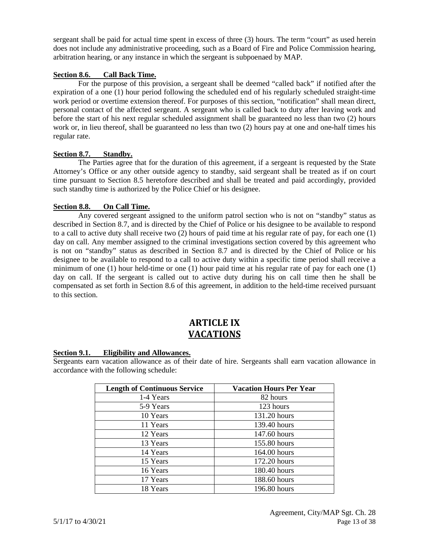sergeant shall be paid for actual time spent in excess of three (3) hours. The term "court" as used herein does not include any administrative proceeding, such as a Board of Fire and Police Commission hearing, arbitration hearing, or any instance in which the sergeant is subpoenaed by MAP.

#### <span id="page-14-0"></span>**Section 8.6. Call Back Time.**

For the purpose of this provision, a sergeant shall be deemed "called back" if notified after the expiration of a one (1) hour period following the scheduled end of his regularly scheduled straight-time work period or overtime extension thereof. For purposes of this section, "notification" shall mean direct, personal contact of the affected sergeant. A sergeant who is called back to duty after leaving work and before the start of his next regular scheduled assignment shall be guaranteed no less than two (2) hours work or, in lieu thereof, shall be guaranteed no less than two (2) hours pay at one and one-half times his regular rate.

#### <span id="page-14-1"></span>**Section 8.7. Standby.**

The Parties agree that for the duration of this agreement, if a sergeant is requested by the State Attorney's Office or any other outside agency to standby, said sergeant shall be treated as if on court time pursuant to Section 8.5 heretofore described and shall be treated and paid accordingly, provided such standby time is authorized by the Police Chief or his designee.

#### <span id="page-14-2"></span>**Section 8.8. On Call Time.**

Any covered sergeant assigned to the uniform patrol section who is not on "standby" status as described in Section 8.7, and is directed by the Chief of Police or his designee to be available to respond to a call to active duty shall receive two (2) hours of paid time at his regular rate of pay, for each one (1) day on call. Any member assigned to the criminal investigations section covered by this agreement who is not on "standby" status as described in Section 8.7 and is directed by the Chief of Police or his designee to be available to respond to a call to active duty within a specific time period shall receive a minimum of one (1) hour held-time or one (1) hour paid time at his regular rate of pay for each one (1) day on call. If the sergeant is called out to active duty during his on call time then he shall be compensated as set forth in Section 8.6 of this agreement, in addition to the held-time received pursuant to this section.

## **ARTICLE IX VACATIONS**

#### <span id="page-14-4"></span><span id="page-14-3"></span>**Section 9.1. Eligibility and Allowances.**

Sergeants earn vacation allowance as of their date of hire. Sergeants shall earn vacation allowance in accordance with the following schedule:

| <b>Length of Continuous Service</b> | <b>Vacation Hours Per Year</b> |
|-------------------------------------|--------------------------------|
| 1-4 Years                           | 82 hours                       |
| 5-9 Years                           | 123 hours                      |
| 10 Years                            | 131.20 hours                   |
| 11 Years                            | 139.40 hours                   |
| 12 Years                            | 147.60 hours                   |
| 13 Years                            | 155.80 hours                   |
| 14 Years                            | 164.00 hours                   |
| 15 Years                            | 172.20 hours                   |
| 16 Years                            | 180.40 hours                   |
| 17 Years                            | 188.60 hours                   |
| 18 Years                            | 196.80 hours                   |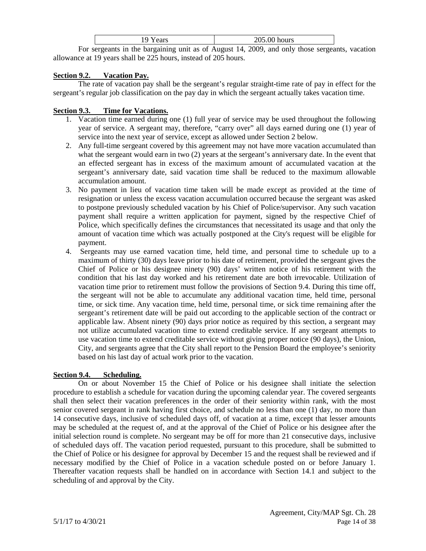| cears ⁄ | 205.00 hours |
|---------|--------------|
|         | .<br>__      |

For sergeants in the bargaining unit as of August 14, 2009, and only those sergeants, vacation allowance at 19 years shall be 225 hours, instead of 205 hours.

#### <span id="page-15-0"></span>**Section 9.2. Vacation Pay.**

The rate of vacation pay shall be the sergeant's regular straight-time rate of pay in effect for the sergeant's regular job classification on the pay day in which the sergeant actually takes vacation time.

#### <span id="page-15-1"></span>**Section 9.3. Time for Vacations.**

- 1. Vacation time earned during one (1) full year of service may be used throughout the following year of service. A sergeant may, therefore, "carry over" all days earned during one (1) year of service into the next year of service, except as allowed under Section 2 below.
- 2. Any full-time sergeant covered by this agreement may not have more vacation accumulated than what the sergeant would earn in two (2) years at the sergeant's anniversary date. In the event that an effected sergeant has in excess of the maximum amount of accumulated vacation at the sergeant's anniversary date, said vacation time shall be reduced to the maximum allowable accumulation amount.
- 3. No payment in lieu of vacation time taken will be made except as provided at the time of resignation or unless the excess vacation accumulation occurred because the sergeant was asked to postpone previously scheduled vacation by his Chief of Police/supervisor. Any such vacation payment shall require a written application for payment, signed by the respective Chief of Police, which specifically defines the circumstances that necessitated its usage and that only the amount of vacation time which was actually postponed at the City's request will be eligible for payment.
- 4. Sergeants may use earned vacation time, held time, and personal time to schedule up to a maximum of thirty (30) days leave prior to his date of retirement, provided the sergeant gives the Chief of Police or his designee ninety (90) days' written notice of his retirement with the condition that his last day worked and his retirement date are both irrevocable. Utilization of vacation time prior to retirement must follow the provisions of Section 9.4. During this time off, the sergeant will not be able to accumulate any additional vacation time, held time, personal time, or sick time. Any vacation time, held time, personal time, or sick time remaining after the sergeant's retirement date will be paid out according to the applicable section of the contract or applicable law. Absent ninety (90) days prior notice as required by this section, a sergeant may not utilize accumulated vacation time to extend creditable service. If any sergeant attempts to use vacation time to extend creditable service without giving proper notice (90 days), the Union, City, and sergeants agree that the City shall report to the Pension Board the employee's seniority based on his last day of actual work prior to the vacation.

#### <span id="page-15-2"></span>**Section 9.4. Scheduling.**

On or about November 15 the Chief of Police or his designee shall initiate the selection procedure to establish a schedule for vacation during the upcoming calendar year. The covered sergeants shall then select their vacation preferences in the order of their seniority within rank, with the most senior covered sergeant in rank having first choice, and schedule no less than one (1) day, no more than 14 consecutive days, inclusive of scheduled days off, of vacation at a time, except that lesser amounts may be scheduled at the request of, and at the approval of the Chief of Police or his designee after the initial selection round is complete. No sergeant may be off for more than 21 consecutive days, inclusive of scheduled days off. The vacation period requested, pursuant to this procedure, shall be submitted to the Chief of Police or his designee for approval by December 15 and the request shall be reviewed and if necessary modified by the Chief of Police in a vacation schedule posted on or before January 1. Thereafter vacation requests shall be handled on in accordance with Section 14.1 and subject to the scheduling of and approval by the City.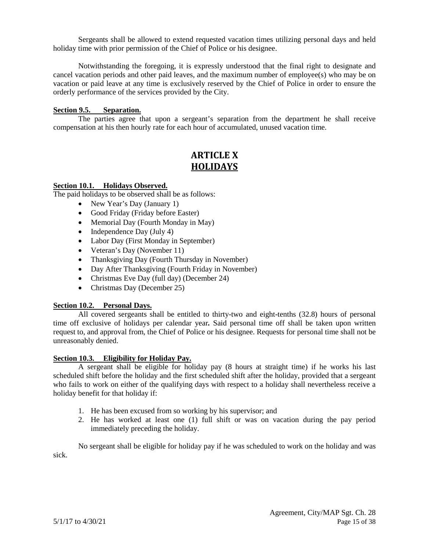Sergeants shall be allowed to extend requested vacation times utilizing personal days and held holiday time with prior permission of the Chief of Police or his designee.

Notwithstanding the foregoing, it is expressly understood that the final right to designate and cancel vacation periods and other paid leaves, and the maximum number of employee(s) who may be on vacation or paid leave at any time is exclusively reserved by the Chief of Police in order to ensure the orderly performance of the services provided by the City.

#### <span id="page-16-0"></span>**Section 9.5. Separation.**

The parties agree that upon a sergeant's separation from the department he shall receive compensation at his then hourly rate for each hour of accumulated, unused vacation time.

## **ARTICLE X HOLIDAYS**

#### <span id="page-16-2"></span><span id="page-16-1"></span>**Section 10.1. Holidays Observed.**

The paid holidays to be observed shall be as follows:

- New Year's Day (January 1)
- Good Friday (Friday before Easter)
- Memorial Day (Fourth Monday in May)
- Independence Day (July 4)
- Labor Day (First Monday in September)
- Veteran's Day (November 11)
- Thanksgiving Day (Fourth Thursday in November)
- Day After Thanksgiving (Fourth Friday in November)
- Christmas Eve Day (full day) (December 24)
- Christmas Day (December 25)

#### <span id="page-16-3"></span>**Section 10.2. Personal Days.**

All covered sergeants shall be entitled to thirty-two and eight-tenths (32.8) hours of personal time off exclusive of holidays per calendar year*.* Said personal time off shall be taken upon written request to, and approval from, the Chief of Police or his designee. Requests for personal time shall not be unreasonably denied.

#### <span id="page-16-4"></span>**Section 10.3. Eligibility for Holiday Pay.**

A sergeant shall be eligible for holiday pay (8 hours at straight time) if he works his last scheduled shift before the holiday and the first scheduled shift after the holiday, provided that a sergeant who fails to work on either of the qualifying days with respect to a holiday shall nevertheless receive a holiday benefit for that holiday if:

- 1. He has been excused from so working by his supervisor; and
- 2. He has worked at least one (1) full shift or was on vacation during the pay period immediately preceding the holiday.

<span id="page-16-5"></span>No sergeant shall be eligible for holiday pay if he was scheduled to work on the holiday and was sick.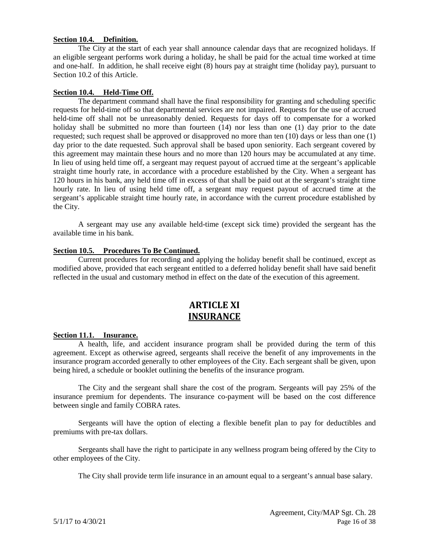#### **Section 10.4. Definition.**

The City at the start of each year shall announce calendar days that are recognized holidays. If an eligible sergeant performs work during a holiday, he shall be paid for the actual time worked at time and one-half. In addition, he shall receive eight (8) hours pay at straight time (holiday pay), pursuant to Section 10.2 of this Article.

#### <span id="page-17-0"></span>**Section 10.4. Held-Time Off.**

The department command shall have the final responsibility for granting and scheduling specific requests for held-time off so that departmental services are not impaired. Requests for the use of accrued held-time off shall not be unreasonably denied. Requests for days off to compensate for a worked holiday shall be submitted no more than fourteen (14) nor less than one (1) day prior to the date requested; such request shall be approved or disapproved no more than ten (10) days or less than one (1) day prior to the date requested. Such approval shall be based upon seniority. Each sergeant covered by this agreement may maintain these hours and no more than 120 hours may be accumulated at any time. In lieu of using held time off, a sergeant may request payout of accrued time at the sergeant's applicable straight time hourly rate, in accordance with a procedure established by the City. When a sergeant has 120 hours in his bank, any held time off in excess of that shall be paid out at the sergeant's straight time hourly rate. In lieu of using held time off, a sergeant may request payout of accrued time at the sergeant's applicable straight time hourly rate, in accordance with the current procedure established by the City.

A sergeant may use any available held-time (except sick time) provided the sergeant has the available time in his bank.

#### <span id="page-17-1"></span>**Section 10.5. Procedures To Be Continued.**

Current procedures for recording and applying the holiday benefit shall be continued, except as modified above, provided that each sergeant entitled to a deferred holiday benefit shall have said benefit reflected in the usual and customary method in effect on the date of the execution of this agreement.

## **ARTICLE XI INSURANCE**

#### <span id="page-17-3"></span><span id="page-17-2"></span>**Section 11.1. Insurance.**

A health, life, and accident insurance program shall be provided during the term of this agreement. Except as otherwise agreed, sergeants shall receive the benefit of any improvements in the insurance program accorded generally to other employees of the City. Each sergeant shall be given, upon being hired, a schedule or booklet outlining the benefits of the insurance program.

The City and the sergeant shall share the cost of the program. Sergeants will pay 25% of the insurance premium for dependents. The insurance co-payment will be based on the cost difference between single and family COBRA rates.

Sergeants will have the option of electing a flexible benefit plan to pay for deductibles and premiums with pre-tax dollars.

Sergeants shall have the right to participate in any wellness program being offered by the City to other employees of the City.

The City shall provide term life insurance in an amount equal to a sergeant's annual base salary.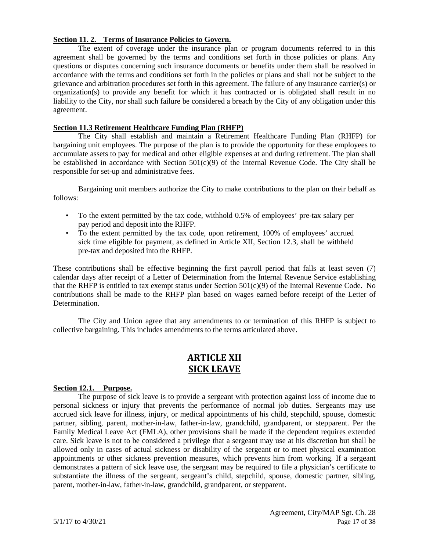#### <span id="page-18-0"></span>**Section 11. 2. Terms of Insurance Policies to Govern.**

The extent of coverage under the insurance plan or program documents referred to in this agreement shall be governed by the terms and conditions set forth in those policies or plans. Any questions or disputes concerning such insurance documents or benefits under them shall be resolved in accordance with the terms and conditions set forth in the policies or plans and shall not be subject to the grievance and arbitration procedures set forth in this agreement. The failure of any insurance carrier(s) or organization(s) to provide any benefit for which it has contracted or is obligated shall result in no liability to the City, nor shall such failure be considered a breach by the City of any obligation under this agreement.

#### <span id="page-18-1"></span>**Section 11.3 Retirement Healthcare Funding Plan (RHFP)**

The City shall establish and maintain a Retirement Healthcare Funding Plan (RHFP) for bargaining unit employees. The purpose of the plan is to provide the opportunity for these employees to accumulate assets to pay for medical and other eligible expenses at and during retirement. The plan shall be established in accordance with Section  $501(c)(9)$  of the Internal Revenue Code. The City shall be responsible for set-up and administrative fees.

Bargaining unit members authorize the City to make contributions to the plan on their behalf as follows:

- To the extent permitted by the tax code, withhold 0.5% of employees' pre-tax salary per pay period and deposit into the RHFP.
- To the extent permitted by the tax code, upon retirement, 100% of employees' accrued sick time eligible for payment, as defined in Article XII, Section 12.3, shall be withheld pre-tax and deposited into the RHFP.

These contributions shall be effective beginning the first payroll period that falls at least seven (7) calendar days after receipt of a Letter of Determination from the Internal Revenue Service establishing that the RHFP is entitled to tax exempt status under Section  $501(c)(9)$  of the Internal Revenue Code. No contributions shall be made to the RHFP plan based on wages earned before receipt of the Letter of Determination.

The City and Union agree that any amendments to or termination of this RHFP is subject to collective bargaining. This includes amendments to the terms articulated above.

## **ARTICLE XII SICK LEAVE**

#### <span id="page-18-3"></span><span id="page-18-2"></span>**Section 12.1. Purpose.**

The purpose of sick leave is to provide a sergeant with protection against loss of income due to personal sickness or injury that prevents the performance of normal job duties. Sergeants may use accrued sick leave for illness, injury, or medical appointments of his child, stepchild, spouse, domestic partner, sibling, parent, mother-in-law, father-in-law, grandchild, grandparent, or stepparent. Per the Family Medical Leave Act (FMLA), other provisions shall be made if the dependent requires extended care. Sick leave is not to be considered a privilege that a sergeant may use at his discretion but shall be allowed only in cases of actual sickness or disability of the sergeant or to meet physical examination appointments or other sickness prevention measures, which prevents him from working. If a sergeant demonstrates a pattern of sick leave use, the sergeant may be required to file a physician's certificate to substantiate the illness of the sergeant, sergeant's child, stepchild, spouse, domestic partner, sibling, parent, mother-in-law, father-in-law, grandchild, grandparent, or stepparent.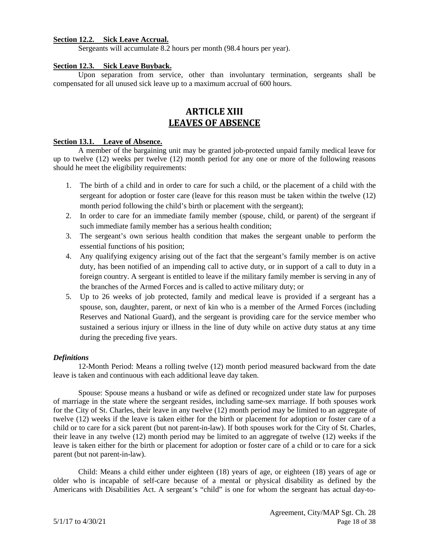#### <span id="page-19-0"></span>**Section 12.2. Sick Leave Accrual.**

Sergeants will accumulate 8.2 hours per month (98.4 hours per year).

#### <span id="page-19-1"></span>**Section 12.3. Sick Leave Buyback.**

Upon separation from service, other than involuntary termination, sergeants shall be compensated for all unused sick leave up to a maximum accrual of 600 hours.

## **ARTICLE XIII LEAVES OF ABSENCE**

#### <span id="page-19-3"></span><span id="page-19-2"></span>**Section 13.1. Leave of Absence.**

A member of the bargaining unit may be granted job-protected unpaid family medical leave for up to twelve (12) weeks per twelve (12) month period for any one or more of the following reasons should he meet the eligibility requirements:

- 1. The birth of a child and in order to care for such a child, or the placement of a child with the sergeant for adoption or foster care (leave for this reason must be taken within the twelve (12) month period following the child's birth or placement with the sergeant);
- 2. In order to care for an immediate family member (spouse, child, or parent) of the sergeant if such immediate family member has a serious health condition;
- 3. The sergeant's own serious health condition that makes the sergeant unable to perform the essential functions of his position;
- 4. Any qualifying exigency arising out of the fact that the sergeant's family member is on active duty, has been notified of an impending call to active duty, or in support of a call to duty in a foreign country. A sergeant is entitled to leave if the military family member is serving in any of the branches of the Armed Forces and is called to active military duty; or
- 5. Up to 26 weeks of job protected, family and medical leave is provided if a sergeant has a spouse, son, daughter, parent, or next of kin who is a member of the Armed Forces (including Reserves and National Guard), and the sergeant is providing care for the service member who sustained a serious injury or illness in the line of duty while on active duty status at any time during the preceding five years.

#### *Definitions*

12-Month Period: Means a rolling twelve (12) month period measured backward from the date leave is taken and continuous with each additional leave day taken.

Spouse: Spouse means a husband or wife as defined or recognized under state law for purposes of marriage in the state where the sergeant resides, including same-sex marriage. If both spouses work for the City of St. Charles, their leave in any twelve (12) month period may be limited to an aggregate of twelve (12) weeks if the leave is taken either for the birth or placement for adoption or foster care of a child or to care for a sick parent (but not parent-in-law). If both spouses work for the City of St. Charles, their leave in any twelve (12) month period may be limited to an aggregate of twelve (12) weeks if the leave is taken either for the birth or placement for adoption or foster care of a child or to care for a sick parent (but not parent-in-law).

Child: Means a child either under eighteen (18) years of age, or eighteen (18) years of age or older who is incapable of self-care because of a mental or physical disability as defined by the Americans with Disabilities Act. A sergeant's "child" is one for whom the sergeant has actual day-to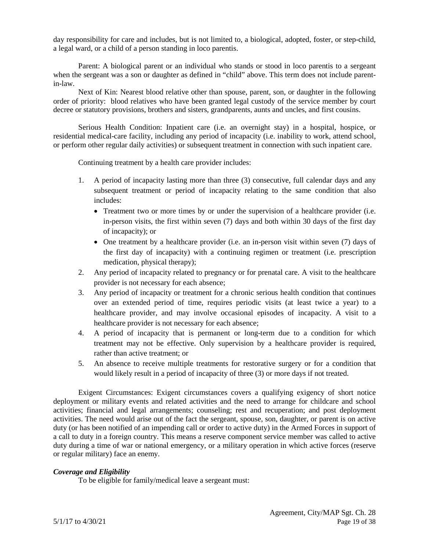day responsibility for care and includes, but is not limited to, a biological, adopted, foster, or step-child, a legal ward, or a child of a person standing in loco parentis.

Parent: A biological parent or an individual who stands or stood in loco parentis to a sergeant when the sergeant was a son or daughter as defined in "child" above. This term does not include parentin-law.

Next of Kin: Nearest blood relative other than spouse, parent, son, or daughter in the following order of priority: blood relatives who have been granted legal custody of the service member by court decree or statutory provisions, brothers and sisters, grandparents, aunts and uncles, and first cousins.

Serious Health Condition: Inpatient care (i.e. an overnight stay) in a hospital, hospice, or residential medical-care facility, including any period of incapacity (i.e. inability to work, attend school, or perform other regular daily activities) or subsequent treatment in connection with such inpatient care.

Continuing treatment by a health care provider includes:

- 1. A period of incapacity lasting more than three (3) consecutive, full calendar days and any subsequent treatment or period of incapacity relating to the same condition that also includes:
	- Treatment two or more times by or under the supervision of a healthcare provider (i.e. in-person visits, the first within seven (7) days and both within 30 days of the first day of incapacity); or
	- One treatment by a healthcare provider (i.e. an in-person visit within seven (7) days of the first day of incapacity) with a continuing regimen or treatment (i.e. prescription medication, physical therapy);
- 2. Any period of incapacity related to pregnancy or for prenatal care. A visit to the healthcare provider is not necessary for each absence;
- 3. Any period of incapacity or treatment for a chronic serious health condition that continues over an extended period of time, requires periodic visits (at least twice a year) to a healthcare provider, and may involve occasional episodes of incapacity. A visit to a healthcare provider is not necessary for each absence;
- 4. A period of incapacity that is permanent or long-term due to a condition for which treatment may not be effective. Only supervision by a healthcare provider is required, rather than active treatment; or
- 5. An absence to receive multiple treatments for restorative surgery or for a condition that would likely result in a period of incapacity of three (3) or more days if not treated.

Exigent Circumstances: Exigent circumstances covers a qualifying exigency of short notice deployment or military events and related activities and the need to arrange for childcare and school activities; financial and legal arrangements; counseling; rest and recuperation; and post deployment activities. The need would arise out of the fact the sergeant, spouse, son, daughter, or parent is on active duty (or has been notified of an impending call or order to active duty) in the Armed Forces in support of a call to duty in a foreign country. This means a reserve component service member was called to active duty during a time of war or national emergency, or a military operation in which active forces (reserve or regular military) face an enemy.

#### *Coverage and Eligibility*

To be eligible for family/medical leave a sergeant must: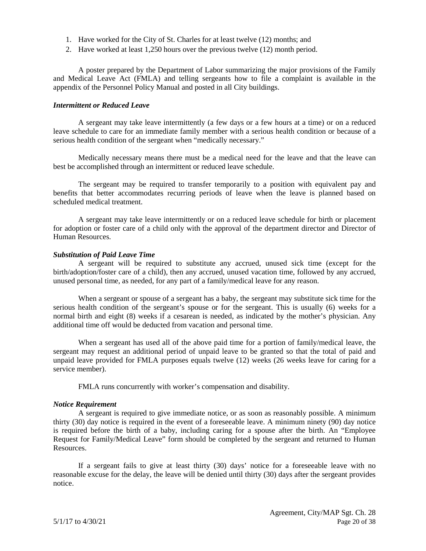- 1. Have worked for the City of St. Charles for at least twelve (12) months; and
- 2. Have worked at least 1,250 hours over the previous twelve (12) month period.

A poster prepared by the Department of Labor summarizing the major provisions of the Family and Medical Leave Act (FMLA) and telling sergeants how to file a complaint is available in the appendix of the Personnel Policy Manual and posted in all City buildings.

#### *Intermittent or Reduced Leave*

A sergeant may take leave intermittently (a few days or a few hours at a time) or on a reduced leave schedule to care for an immediate family member with a serious health condition or because of a serious health condition of the sergeant when "medically necessary."

Medically necessary means there must be a medical need for the leave and that the leave can best be accomplished through an intermittent or reduced leave schedule.

The sergeant may be required to transfer temporarily to a position with equivalent pay and benefits that better accommodates recurring periods of leave when the leave is planned based on scheduled medical treatment.

A sergeant may take leave intermittently or on a reduced leave schedule for birth or placement for adoption or foster care of a child only with the approval of the department director and Director of Human Resources.

#### *Substitution of Paid Leave Time*

A sergeant will be required to substitute any accrued, unused sick time (except for the birth/adoption/foster care of a child), then any accrued, unused vacation time, followed by any accrued, unused personal time, as needed, for any part of a family/medical leave for any reason.

When a sergeant or spouse of a sergeant has a baby, the sergeant may substitute sick time for the serious health condition of the sergeant's spouse or for the sergeant. This is usually (6) weeks for a normal birth and eight (8) weeks if a cesarean is needed, as indicated by the mother's physician. Any additional time off would be deducted from vacation and personal time.

When a sergeant has used all of the above paid time for a portion of family/medical leave, the sergeant may request an additional period of unpaid leave to be granted so that the total of paid and unpaid leave provided for FMLA purposes equals twelve (12) weeks (26 weeks leave for caring for a service member).

FMLA runs concurrently with worker's compensation and disability.

#### *Notice Requirement*

A sergeant is required to give immediate notice, or as soon as reasonably possible. A minimum thirty (30) day notice is required in the event of a foreseeable leave. A minimum ninety (90) day notice is required before the birth of a baby, including caring for a spouse after the birth. An "Employee Request for Family/Medical Leave" form should be completed by the sergeant and returned to Human Resources.

If a sergeant fails to give at least thirty (30) days' notice for a foreseeable leave with no reasonable excuse for the delay, the leave will be denied until thirty (30) days after the sergeant provides notice.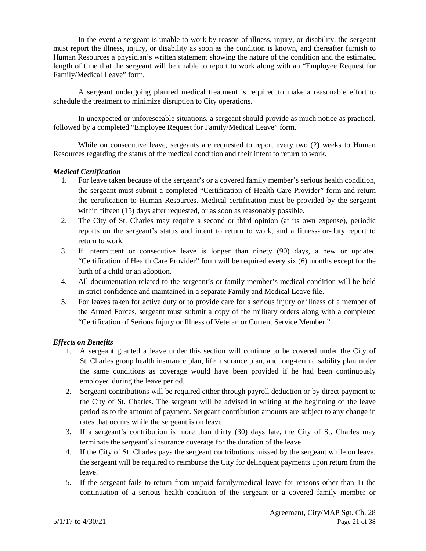In the event a sergeant is unable to work by reason of illness, injury, or disability, the sergeant must report the illness, injury, or disability as soon as the condition is known, and thereafter furnish to Human Resources a physician's written statement showing the nature of the condition and the estimated length of time that the sergeant will be unable to report to work along with an "Employee Request for Family/Medical Leave" form.

A sergeant undergoing planned medical treatment is required to make a reasonable effort to schedule the treatment to minimize disruption to City operations.

In unexpected or unforeseeable situations, a sergeant should provide as much notice as practical, followed by a completed "Employee Request for Family/Medical Leave" form.

While on consecutive leave, sergeants are requested to report every two (2) weeks to Human Resources regarding the status of the medical condition and their intent to return to work.

#### *Medical Certification*

- 1. For leave taken because of the sergeant's or a covered family member's serious health condition, the sergeant must submit a completed "Certification of Health Care Provider" form and return the certification to Human Resources. Medical certification must be provided by the sergeant within fifteen (15) days after requested, or as soon as reasonably possible.
- 2. The City of St. Charles may require a second or third opinion (at its own expense), periodic reports on the sergeant's status and intent to return to work, and a fitness-for-duty report to return to work.
- 3. If intermittent or consecutive leave is longer than ninety (90) days, a new or updated "Certification of Health Care Provider" form will be required every six (6) months except for the birth of a child or an adoption.
- 4. All documentation related to the sergeant's or family member's medical condition will be held in strict confidence and maintained in a separate Family and Medical Leave file.
- 5. For leaves taken for active duty or to provide care for a serious injury or illness of a member of the Armed Forces, sergeant must submit a copy of the military orders along with a completed "Certification of Serious Injury or Illness of Veteran or Current Service Member."

#### *Effects on Benefits*

- 1. A sergeant granted a leave under this section will continue to be covered under the City of St. Charles group health insurance plan, life insurance plan, and long-term disability plan under the same conditions as coverage would have been provided if he had been continuously employed during the leave period.
- 2. Sergeant contributions will be required either through payroll deduction or by direct payment to the City of St. Charles. The sergeant will be advised in writing at the beginning of the leave period as to the amount of payment. Sergeant contribution amounts are subject to any change in rates that occurs while the sergeant is on leave.
- 3. If a sergeant's contribution is more than thirty (30) days late, the City of St. Charles may terminate the sergeant's insurance coverage for the duration of the leave.
- 4. If the City of St. Charles pays the sergeant contributions missed by the sergeant while on leave, the sergeant will be required to reimburse the City for delinquent payments upon return from the leave.
- 5. If the sergeant fails to return from unpaid family/medical leave for reasons other than 1) the continuation of a serious health condition of the sergeant or a covered family member or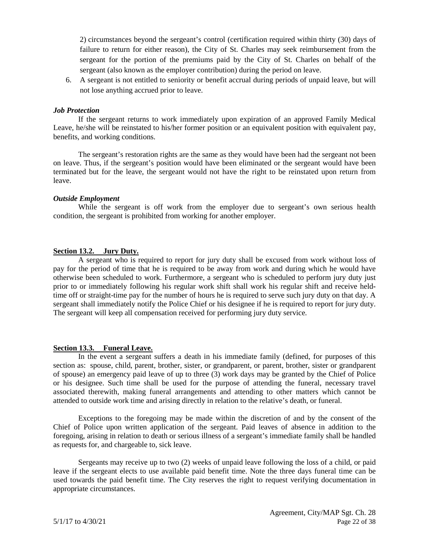2) circumstances beyond the sergeant's control (certification required within thirty (30) days of failure to return for either reason), the City of St. Charles may seek reimbursement from the sergeant for the portion of the premiums paid by the City of St. Charles on behalf of the sergeant (also known as the employer contribution) during the period on leave.

6. A sergeant is not entitled to seniority or benefit accrual during periods of unpaid leave, but will not lose anything accrued prior to leave.

#### *Job Protection*

If the sergeant returns to work immediately upon expiration of an approved Family Medical Leave, he/she will be reinstated to his/her former position or an equivalent position with equivalent pay, benefits, and working conditions.

The sergeant's restoration rights are the same as they would have been had the sergeant not been on leave. Thus, if the sergeant's position would have been eliminated or the sergeant would have been terminated but for the leave, the sergeant would not have the right to be reinstated upon return from leave.

#### *Outside Employment*

While the sergeant is off work from the employer due to sergeant's own serious health condition, the sergeant is prohibited from working for another employer.

#### <span id="page-23-0"></span>**Section 13.2. Jury Duty.**

A sergeant who is required to report for jury duty shall be excused from work without loss of pay for the period of time that he is required to be away from work and during which he would have otherwise been scheduled to work. Furthermore, a sergeant who is scheduled to perform jury duty just prior to or immediately following his regular work shift shall work his regular shift and receive heldtime off or straight-time pay for the number of hours he is required to serve such jury duty on that day. A sergeant shall immediately notify the Police Chief or his designee if he is required to report for jury duty. The sergeant will keep all compensation received for performing jury duty service.

#### <span id="page-23-1"></span>**Section 13.3. Funeral Leave.**

In the event a sergeant suffers a death in his immediate family (defined, for purposes of this section as: spouse, child, parent, brother, sister, or grandparent, or parent, brother, sister or grandparent of spouse) an emergency paid leave of up to three (3) work days may be granted by the Chief of Police or his designee. Such time shall be used for the purpose of attending the funeral, necessary travel associated therewith, making funeral arrangements and attending to other matters which cannot be attended to outside work time and arising directly in relation to the relative's death, or funeral.

Exceptions to the foregoing may be made within the discretion of and by the consent of the Chief of Police upon written application of the sergeant. Paid leaves of absence in addition to the foregoing, arising in relation to death or serious illness of a sergeant's immediate family shall be handled as requests for, and chargeable to, sick leave.

Sergeants may receive up to two (2) weeks of unpaid leave following the loss of a child, or paid leave if the sergeant elects to use available paid benefit time. Note the three days funeral time can be used towards the paid benefit time. The City reserves the right to request verifying documentation in appropriate circumstances.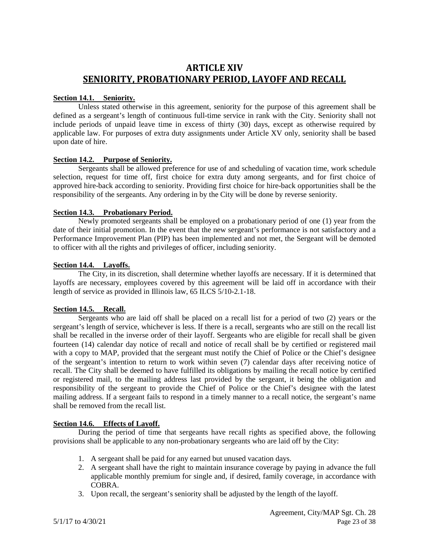## <span id="page-24-0"></span>**ARTICLE XIV SENIORITY, PROBATIONARY PERIOD, LAYOFF AND RECALL**

#### <span id="page-24-1"></span>**Section 14.1. Seniority.**

Unless stated otherwise in this agreement, seniority for the purpose of this agreement shall be defined as a sergeant's length of continuous full-time service in rank with the City. Seniority shall not include periods of unpaid leave time in excess of thirty (30) days, except as otherwise required by applicable law. For purposes of extra duty assignments under Article XV only, seniority shall be based upon date of hire.

#### <span id="page-24-2"></span>**Section 14.2. Purpose of Seniority.**

Sergeants shall be allowed preference for use of and scheduling of vacation time, work schedule selection, request for time off, first choice for extra duty among sergeants, and for first choice of approved hire-back according to seniority. Providing first choice for hire-back opportunities shall be the responsibility of the sergeants. Any ordering in by the City will be done by reverse seniority.

#### <span id="page-24-3"></span>**Section 14.3. Probationary Period.**

Newly promoted sergeants shall be employed on a probationary period of one (1) year from the date of their initial promotion. In the event that the new sergeant's performance is not satisfactory and a Performance Improvement Plan (PIP) has been implemented and not met, the Sergeant will be demoted to officer with all the rights and privileges of officer, including seniority.

#### <span id="page-24-4"></span>**Section 14.4. Layoffs.**

The City, in its discretion, shall determine whether layoffs are necessary. If it is determined that layoffs are necessary, employees covered by this agreement will be laid off in accordance with their length of service as provided in Illinois law, 65 ILCS 5/10-2.1-18.

#### <span id="page-24-5"></span>**Section 14.5. Recall.**

Sergeants who are laid off shall be placed on a recall list for a period of two (2) years or the sergeant's length of service, whichever is less. If there is a recall, sergeants who are still on the recall list shall be recalled in the inverse order of their layoff. Sergeants who are eligible for recall shall be given fourteen (14) calendar day notice of recall and notice of recall shall be by certified or registered mail with a copy to MAP, provided that the sergeant must notify the Chief of Police or the Chief's designee of the sergeant's intention to return to work within seven (7) calendar days after receiving notice of recall. The City shall be deemed to have fulfilled its obligations by mailing the recall notice by certified or registered mail, to the mailing address last provided by the sergeant, it being the obligation and responsibility of the sergeant to provide the Chief of Police or the Chief's designee with the latest mailing address. If a sergeant fails to respond in a timely manner to a recall notice, the sergeant's name shall be removed from the recall list.

#### <span id="page-24-6"></span>**Section 14.6. Effects of Layoff.**

During the period of time that sergeants have recall rights as specified above, the following provisions shall be applicable to any non-probationary sergeants who are laid off by the City:

- 1. A sergeant shall be paid for any earned but unused vacation days.
- 2. A sergeant shall have the right to maintain insurance coverage by paying in advance the full applicable monthly premium for single and, if desired, family coverage, in accordance with COBRA.
- 3. Upon recall, the sergeant's seniority shall be adjusted by the length of the layoff.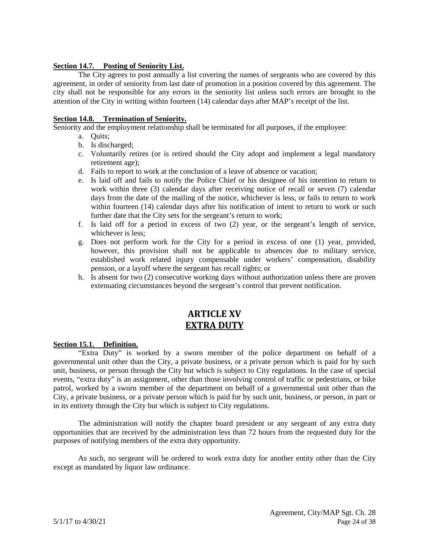#### <span id="page-25-0"></span>**Section 14.7. Posting of Seniority List.**

The City agrees to post annually a list covering the names of sergeants who are covered by this agreement, in order of seniority from last date of promotion in a position covered by this agreement. The city shall not be responsible for any errors in the seniority list unless such errors are brought to the attention of the City in writing within fourteen (14) calendar days after MAP's receipt of the list.

#### <span id="page-25-1"></span>**Section 14.8. Termination of Seniority.**

Seniority and the employment relationship shall be terminated for all purposes, if the employee:

- a. Quits;
- b. Is discharged;
- c. Voluntarily retires (or is retired should the City adopt and implement a legal mandatory retirement age);
- d. Fails to report to work at the conclusion of a leave of absence or vacation;
- e. Is laid off and fails to notify the Police Chief or his designee of his intention to return to work within three (3) calendar days after receiving notice of recall or seven (7) calendar days from the date of the mailing of the notice, whichever is less, or fails to return to work within fourteen (14) calendar days after his notification of intent to return to work or such further date that the City sets for the sergeant's return to work;
- f. Is laid off for a period in excess of two (2) year, or the sergeant's length of service, whichever is less;
- g. Does not perform work for the City for a period in excess of one (1) year, provided, however, this provision shall not be applicable to absences due to military service, established work related injury compensable under workers' compensation, disability pension, or a layoff where the sergeant has recall rights; or
- h. Is absent for two (2) consecutive working days without authorization unless there are proven extenuating circumstances beyond the sergeant's control that prevent notification.

## **ARTICLE XV EXTRA DUTY**

#### <span id="page-25-3"></span><span id="page-25-2"></span>**Section 15.1. Definition.**

"Extra Duty" is worked by a sworn member of the police department on behalf of a governmental unit other than the City, a private business, or a private person which is paid for by such unit, business, or person through the City but which is subject to City regulations. In the case of special events, "extra duty" is an assignment, other than those involving control of traffic or pedestrians, or bike patrol, worked by a sworn member of the department on behalf of a governmental unit other than the City, a private business, or a private person which is paid for by such unit, business, or person, in part or in its entirety through the City but which is subject to City regulations.

The administration will notify the chapter board president or any sergeant of any extra duty opportunities that are received by the administration less than 72 hours from the requested duty for the purposes of notifying members of the extra duty opportunity.

<span id="page-25-4"></span>As such, no sergeant will be ordered to work extra duty for another entity other than the City except as mandated by liquor law ordinance.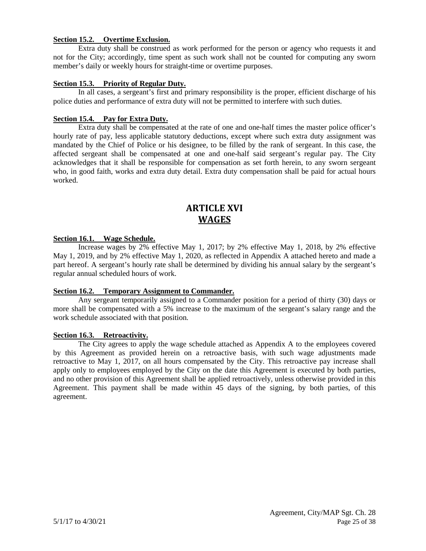#### **Section 15.2. Overtime Exclusion.**

Extra duty shall be construed as work performed for the person or agency who requests it and not for the City; accordingly, time spent as such work shall not be counted for computing any sworn member's daily or weekly hours for straight-time or overtime purposes.

#### <span id="page-26-0"></span>**Section 15.3. Priority of Regular Duty.**

In all cases, a sergeant's first and primary responsibility is the proper, efficient discharge of his police duties and performance of extra duty will not be permitted to interfere with such duties.

#### <span id="page-26-1"></span>**Section 15.4. Pay for Extra Duty.**

Extra duty shall be compensated at the rate of one and one-half times the master police officer's hourly rate of pay, less applicable statutory deductions, except where such extra duty assignment was mandated by the Chief of Police or his designee, to be filled by the rank of sergeant. In this case, the affected sergeant shall be compensated at one and one-half said sergeant's regular pay. The City acknowledges that it shall be responsible for compensation as set forth herein, to any sworn sergeant who, in good faith, works and extra duty detail. Extra duty compensation shall be paid for actual hours worked.

## **ARTICLE XVI WAGES**

#### <span id="page-26-3"></span><span id="page-26-2"></span>**Section 16.1. Wage Schedule.**

Increase wages by 2% effective May 1, 2017; by 2% effective May 1, 2018, by 2% effective May 1, 2019, and by 2% effective May 1, 2020, as reflected in Appendix A attached hereto and made a part hereof. A sergeant's hourly rate shall be determined by dividing his annual salary by the sergeant's regular annual scheduled hours of work.

#### <span id="page-26-4"></span>**Section 16.2. Temporary Assignment to Commander.**

Any sergeant temporarily assigned to a Commander position for a period of thirty (30) days or more shall be compensated with a 5% increase to the maximum of the sergeant's salary range and the work schedule associated with that position.

#### <span id="page-26-5"></span>**Section 16.3. Retroactivity.**

<span id="page-26-6"></span>The City agrees to apply the wage schedule attached as Appendix A to the employees covered by this Agreement as provided herein on a retroactive basis, with such wage adjustments made retroactive to May 1, 2017, on all hours compensated by the City. This retroactive pay increase shall apply only to employees employed by the City on the date this Agreement is executed by both parties, and no other provision of this Agreement shall be applied retroactively, unless otherwise provided in this Agreement. This payment shall be made within 45 days of the signing, by both parties, of this agreement.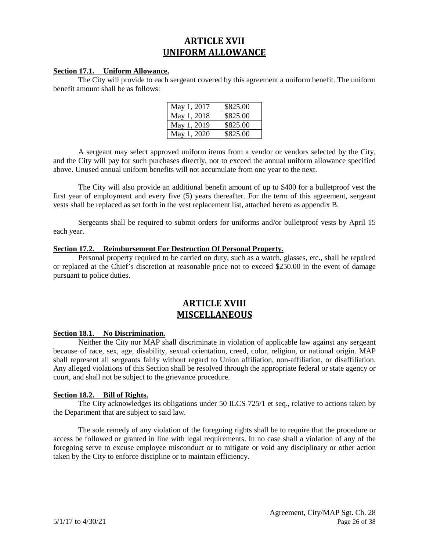## **ARTICLE XVII UNIFORM ALLOWANCE**

#### <span id="page-27-0"></span>**Section 17.1. Uniform Allowance.**

The City will provide to each sergeant covered by this agreement a uniform benefit. The uniform benefit amount shall be as follows:

| May 1, 2017 | \$825.00 |
|-------------|----------|
| May 1, 2018 | \$825.00 |
| May 1, 2019 | \$825.00 |
| May 1, 2020 | \$825.00 |

A sergeant may select approved uniform items from a vendor or vendors selected by the City, and the City will pay for such purchases directly, not to exceed the annual uniform allowance specified above. Unused annual uniform benefits will not accumulate from one year to the next.

The City will also provide an additional benefit amount of up to \$400 for a bulletproof vest the first year of employment and every five (5) years thereafter. For the term of this agreement, sergeant vests shall be replaced as set forth in the vest replacement list, attached hereto as appendix B.

Sergeants shall be required to submit orders for uniforms and/or bulletproof vests by April 15 each year.

#### <span id="page-27-1"></span>**Section 17.2. Reimbursement For Destruction Of Personal Property.**

Personal property required to be carried on duty, such as a watch, glasses, etc., shall be repaired or replaced at the Chief's discretion at reasonable price not to exceed \$250.00 in the event of damage pursuant to police duties.

## **ARTICLE XVIII MISCELLANEOUS**

#### <span id="page-27-3"></span><span id="page-27-2"></span>**Section 18.1. No Discrimination.**

Neither the City nor MAP shall discriminate in violation of applicable law against any sergeant because of race, sex, age, disability, sexual orientation, creed, color, religion, or national origin. MAP shall represent all sergeants fairly without regard to Union affiliation, non-affiliation, or disaffiliation. Any alleged violations of this Section shall be resolved through the appropriate federal or state agency or court, and shall not be subject to the grievance procedure.

#### <span id="page-27-4"></span>**Section 18.2. Bill of Rights.**

The City acknowledges its obligations under 50 ILCS 725/1 et seq., relative to actions taken by the Department that are subject to said law.

The sole remedy of any violation of the foregoing rights shall be to require that the procedure or access be followed or granted in line with legal requirements. In no case shall a violation of any of the foregoing serve to excuse employee misconduct or to mitigate or void any disciplinary or other action taken by the City to enforce discipline or to maintain efficiency.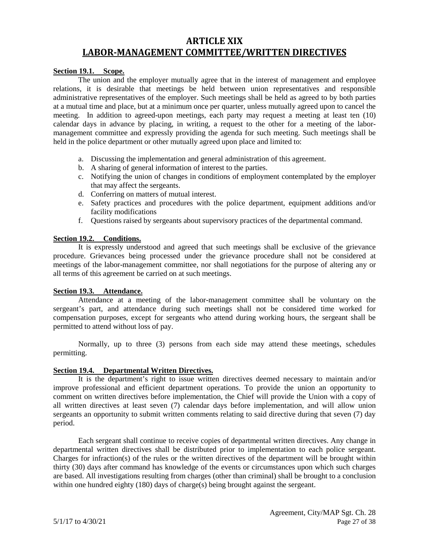## <span id="page-28-0"></span>**ARTICLE XIX LABOR-MANAGEMENT COMMITTEE/WRITTEN DIRECTIVES**

#### <span id="page-28-1"></span>**Section 19.1. Scope.**

The union and the employer mutually agree that in the interest of management and employee relations, it is desirable that meetings be held between union representatives and responsible administrative representatives of the employer. Such meetings shall be held as agreed to by both parties at a mutual time and place, but at a minimum once per quarter, unless mutually agreed upon to cancel the meeting. In addition to agreed-upon meetings, each party may request a meeting at least ten (10) calendar days in advance by placing, in writing, a request to the other for a meeting of the labormanagement committee and expressly providing the agenda for such meeting. Such meetings shall be held in the police department or other mutually agreed upon place and limited to:

- a. Discussing the implementation and general administration of this agreement.
- b. A sharing of general information of interest to the parties.
- c. Notifying the union of changes in conditions of employment contemplated by the employer that may affect the sergeants.
- d. Conferring on matters of mutual interest.
- e. Safety practices and procedures with the police department, equipment additions and/or facility modifications
- f. Questions raised by sergeants about supervisory practices of the departmental command.

#### <span id="page-28-2"></span>**Section 19.2. Conditions.**

It is expressly understood and agreed that such meetings shall be exclusive of the grievance procedure. Grievances being processed under the grievance procedure shall not be considered at meetings of the labor-management committee, nor shall negotiations for the purpose of altering any or all terms of this agreement be carried on at such meetings.

#### <span id="page-28-3"></span>**Section 19.3. Attendance.**

Attendance at a meeting of the labor-management committee shall be voluntary on the sergeant's part, and attendance during such meetings shall not be considered time worked for compensation purposes, except for sergeants who attend during working hours, the sergeant shall be permitted to attend without loss of pay.

Normally, up to three (3) persons from each side may attend these meetings, schedules permitting.

#### <span id="page-28-4"></span>**Section 19.4. Departmental Written Directives.**

It is the department's right to issue written directives deemed necessary to maintain and/or improve professional and efficient department operations. To provide the union an opportunity to comment on written directives before implementation, the Chief will provide the Union with a copy of all written directives at least seven (7) calendar days before implementation, and will allow union sergeants an opportunity to submit written comments relating to said directive during that seven (7) day period.

Each sergeant shall continue to receive copies of departmental written directives. Any change in departmental written directives shall be distributed prior to implementation to each police sergeant. Charges for infraction(s) of the rules or the written directives of the department will be brought within thirty (30) days after command has knowledge of the events or circumstances upon which such charges are based. All investigations resulting from charges (other than criminal) shall be brought to a conclusion within one hundred eighty (180) days of charge(s) being brought against the sergeant.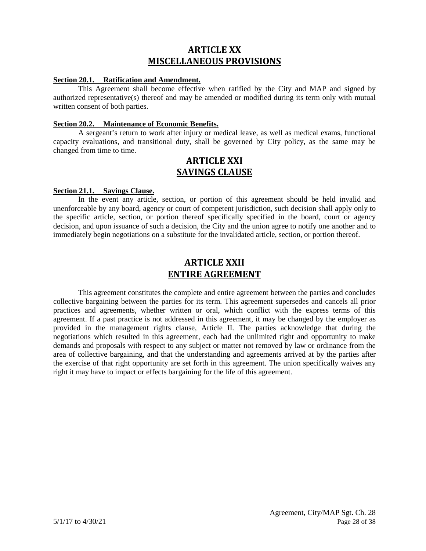## **ARTICLE XX MISCELLANEOUS PROVISIONS**

#### <span id="page-29-1"></span><span id="page-29-0"></span>**Section 20.1. Ratification and Amendment.**

This Agreement shall become effective when ratified by the City and MAP and signed by authorized representative(s) thereof and may be amended or modified during its term only with mutual written consent of both parties.

#### <span id="page-29-2"></span>**Section 20.2. Maintenance of Economic Benefits.**

<span id="page-29-3"></span>A sergeant's return to work after injury or medical leave, as well as medical exams, functional capacity evaluations, and transitional duty, shall be governed by City policy, as the same may be changed from time to time.

## **ARTICLE XXI SAVINGS CLAUSE**

#### <span id="page-29-4"></span>**Section 21.1. Savings Clause.**

In the event any article, section, or portion of this agreement should be held invalid and unenforceable by any board, agency or court of competent jurisdiction, such decision shall apply only to the specific article, section, or portion thereof specifically specified in the board, court or agency decision, and upon issuance of such a decision, the City and the union agree to notify one another and to immediately begin negotiations on a substitute for the invalidated article, section, or portion thereof.

## **ARTICLE XXII ENTIRE AGREEMENT**

<span id="page-29-6"></span><span id="page-29-5"></span>This agreement constitutes the complete and entire agreement between the parties and concludes collective bargaining between the parties for its term. This agreement supersedes and cancels all prior practices and agreements, whether written or oral, which conflict with the express terms of this agreement. If a past practice is not addressed in this agreement, it may be changed by the employer as provided in the management rights clause, Article II. The parties acknowledge that during the negotiations which resulted in this agreement, each had the unlimited right and opportunity to make demands and proposals with respect to any subject or matter not removed by law or ordinance from the area of collective bargaining, and that the understanding and agreements arrived at by the parties after the exercise of that right opportunity are set forth in this agreement. The union specifically waives any right it may have to impact or effects bargaining for the life of this agreement.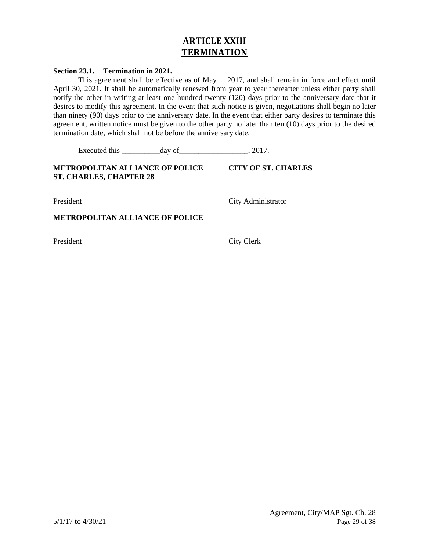## **ARTICLE XXIII TERMINATION**

#### <span id="page-30-0"></span>**Section 23.1. Termination in 2021.**

This agreement shall be effective as of May 1, 2017, and shall remain in force and effect until April 30, 2021*.* It shall be automatically renewed from year to year thereafter unless either party shall notify the other in writing at least one hundred twenty (120) days prior to the anniversary date that it desires to modify this agreement. In the event that such notice is given, negotiations shall begin no later than ninety (90) days prior to the anniversary date. In the event that either party desires to terminate this agreement, written notice must be given to the other party no later than ten (10) days prior to the desired termination date, which shall not be before the anniversary date.

Executed this day of the secure of  $\frac{1}{2017}$ .

#### **METROPOLITAN ALLIANCE OF POLICE ST. CHARLES, CHAPTER 28**

President City Administrator

**CITY OF ST. CHARLES**

**METROPOLITAN ALLIANCE OF POLICE**

President City Clerk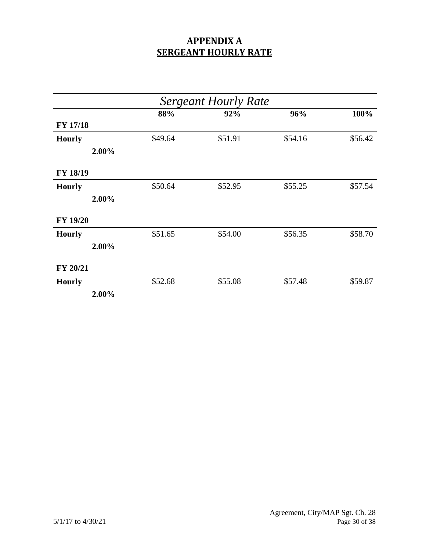## **APPENDIX A SERGEANT HOURLY RATE**

| <b>Sergeant Hourly Rate</b> |       |         |         |         |         |
|-----------------------------|-------|---------|---------|---------|---------|
|                             |       | 88%     | 92%     | 96%     | 100%    |
| <b>FY 17/18</b>             |       |         |         |         |         |
| <b>Hourly</b>               |       | \$49.64 | \$51.91 | \$54.16 | \$56.42 |
|                             | 2.00% |         |         |         |         |
| FY 18/19                    |       |         |         |         |         |
| <b>Hourly</b>               |       | \$50.64 | \$52.95 | \$55.25 | \$57.54 |
|                             | 2.00% |         |         |         |         |
| <b>FY 19/20</b>             |       |         |         |         |         |
| <b>Hourly</b>               |       | \$51.65 | \$54.00 | \$56.35 | \$58.70 |
|                             | 2.00% |         |         |         |         |
| FY 20/21                    |       |         |         |         |         |
| <b>Hourly</b>               |       | \$52.68 | \$55.08 | \$57.48 | \$59.87 |
|                             | 2.00% |         |         |         |         |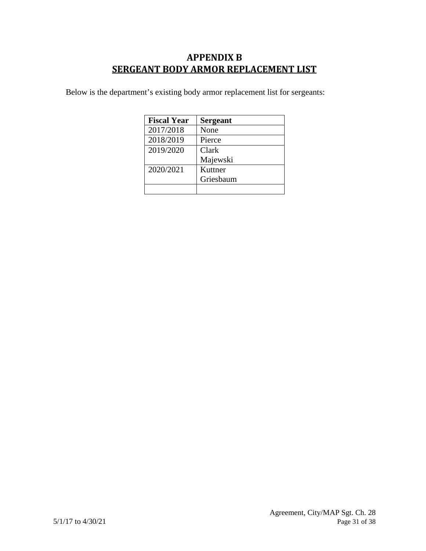## **APPENDIX B SERGEANT BODY ARMOR REPLACEMENT LIST**

<span id="page-32-0"></span>Below is the department's existing body armor replacement list for sergeants:

| <b>Fiscal Year</b> | <b>Sergeant</b> |
|--------------------|-----------------|
| 2017/2018          | None            |
| 2018/2019          | Pierce          |
| 2019/2020          | Clark           |
|                    | Majewski        |
| 2020/2021          | Kuttner         |
|                    | Griesbaum       |
|                    |                 |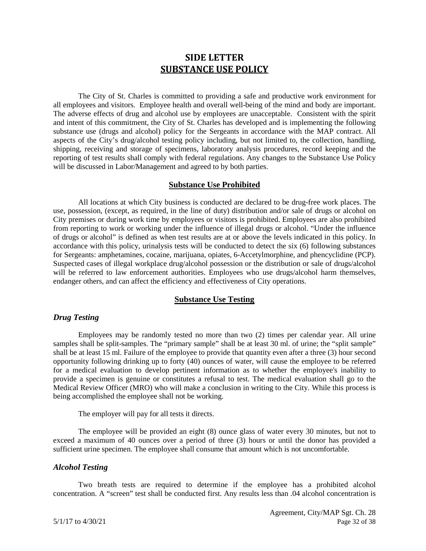## **SIDE LETTER SUBSTANCE USE POLICY**

<span id="page-33-0"></span>The City of St. Charles is committed to providing a safe and productive work environment for all employees and visitors. Employee health and overall well-being of the mind and body are important. The adverse effects of drug and alcohol use by employees are unacceptable. Consistent with the spirit and intent of this commitment, the City of St. Charles has developed and is implementing the following substance use (drugs and alcohol) policy for the Sergeants in accordance with the MAP contract. All aspects of the City's drug/alcohol testing policy including, but not limited to, the collection, handling, shipping, receiving and storage of specimens, laboratory analysis procedures, record keeping and the reporting of test results shall comply with federal regulations. Any changes to the Substance Use Policy will be discussed in Labor/Management and agreed to by both parties.

#### **Substance Use Prohibited**

All locations at which City business is conducted are declared to be drug-free work places. The use, possession, (except, as required, in the line of duty) distribution and/or sale of drugs or alcohol on City premises or during work time by employees or visitors is prohibited. Employees are also prohibited from reporting to work or working under the influence of illegal drugs or alcohol. "Under the influence of drugs or alcohol" is defined as when test results are at or above the levels indicated in this policy. In accordance with this policy, urinalysis tests will be conducted to detect the six (6) following substances for Sergeants: amphetamines, cocaine, marijuana, opiates, 6-Accetylmorphine, and phencyclidine (PCP). Suspected cases of illegal workplace drug/alcohol possession or the distribution or sale of drugs/alcohol will be referred to law enforcement authorities. Employees who use drugs/alcohol harm themselves, endanger others, and can affect the efficiency and effectiveness of City operations.

#### **Substance Use Testing**

#### *Drug Testing*

Employees may be randomly tested no more than two (2) times per calendar year. All urine samples shall be split-samples. The "primary sample" shall be at least 30 ml. of urine; the "split sample" shall be at least 15 ml. Failure of the employee to provide that quantity even after a three (3) hour second opportunity following drinking up to forty (40) ounces of water, will cause the employee to be referred for a medical evaluation to develop pertinent information as to whether the employee's inability to provide a specimen is genuine or constitutes a refusal to test. The medical evaluation shall go to the Medical Review Officer (MRO) who will make a conclusion in writing to the City. While this process is being accomplished the employee shall not be working.

The employer will pay for all tests it directs.

The employee will be provided an eight (8) ounce glass of water every 30 minutes, but not to exceed a maximum of 40 ounces over a period of three (3) hours or until the donor has provided a sufficient urine specimen. The employee shall consume that amount which is not uncomfortable.

#### *Alcohol Testing*

Two breath tests are required to determine if the employee has a prohibited alcohol concentration. A "screen" test shall be conducted first. Any results less than .04 alcohol concentration is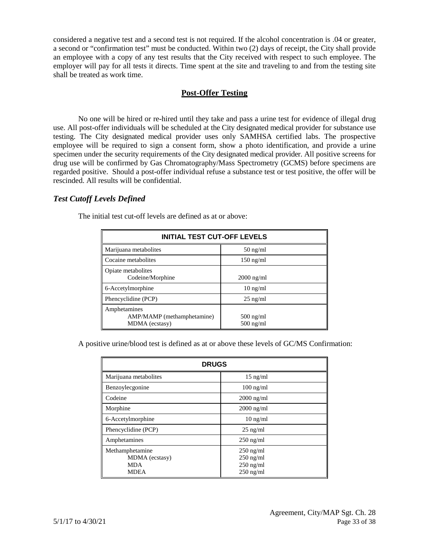considered a negative test and a second test is not required. If the alcohol concentration is .04 or greater, a second or "confirmation test" must be conducted. Within two (2) days of receipt, the City shall provide an employee with a copy of any test results that the City received with respect to such employee. The employer will pay for all tests it directs. Time spent at the site and traveling to and from the testing site shall be treated as work time.

#### **Post-Offer Testing**

No one will be hired or re-hired until they take and pass a urine test for evidence of illegal drug use. All post-offer individuals will be scheduled at the City designated medical provider for substance use testing. The City designated medical provider uses only SAMHSA certified labs. The prospective employee will be required to sign a consent form, show a photo identification, and provide a urine specimen under the security requirements of the City designated medical provider. All positive screens for drug use will be confirmed by Gas Chromatography/Mass Spectrometry (GCMS) before specimens are regarded positive. Should a post-offer individual refuse a substance test or test positive, the offer will be rescinded. All results will be confidential.

### *Test Cutoff Levels Defined*

| <b>INITIAL TEST CUT-OFF LEVELS</b>                           |                            |  |  |  |
|--------------------------------------------------------------|----------------------------|--|--|--|
| Marijuana metabolites                                        | $50$ ng/ml                 |  |  |  |
| Cocaine metabolites                                          | $150$ ng/ml                |  |  |  |
| Opiate metabolites<br>Codeine/Morphine                       | $2000$ ng/ml               |  |  |  |
| 6-Accetylmorphine                                            | $10 \text{ ng/ml}$         |  |  |  |
| Phencyclidine (PCP)                                          | $25$ ng/ml                 |  |  |  |
| Amphetamines<br>AMP/MAMP (methamphetamine)<br>MDMA (ecstasy) | $500$ ng/ml<br>$500$ ng/ml |  |  |  |

The initial test cut-off levels are defined as at or above:

A positive urine/blood test is defined as at or above these levels of GC/MS Confirmation:

| <b>DRUGS</b>                                                   |                                                          |  |
|----------------------------------------------------------------|----------------------------------------------------------|--|
| Marijuana metabolites                                          | $15$ ng/ml                                               |  |
| Benzoylecgonine                                                | $100$ ng/ml                                              |  |
| Codeine                                                        | $2000$ ng/ml                                             |  |
| Morphine                                                       | $2000$ ng/ml                                             |  |
| 6-Accetylmorphine                                              | $10 \text{ ng/ml}$                                       |  |
| Phencyclidine (PCP)                                            | $25$ ng/ml                                               |  |
| Amphetamines                                                   | $250$ ng/ml                                              |  |
| Methamphetamine<br>MDMA (ecstasy)<br><b>MDA</b><br><b>MDEA</b> | $250$ ng/ml<br>$250$ ng/ml<br>$250$ ng/ml<br>$250$ ng/ml |  |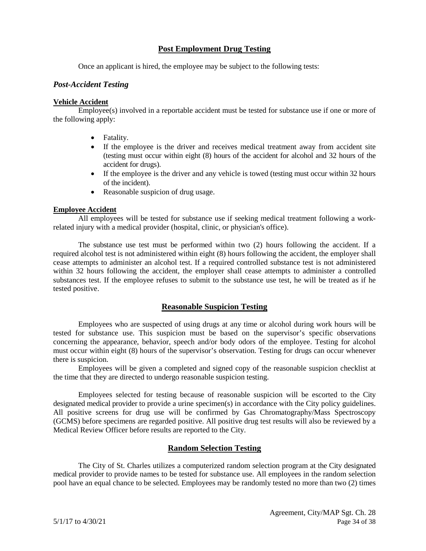#### **Post Employment Drug Testing**

Once an applicant is hired, the employee may be subject to the following tests:

#### *Post-Accident Testing*

#### **Vehicle Accident**

Employee(s) involved in a reportable accident must be tested for substance use if one or more of the following apply:

- Fatality.
- If the employee is the driver and receives medical treatment away from accident site (testing must occur within eight (8) hours of the accident for alcohol and 32 hours of the accident for drugs).
- If the employee is the driver and any vehicle is towed (testing must occur within 32 hours of the incident).
- Reasonable suspicion of drug usage.

#### **Employee Accident**

All employees will be tested for substance use if seeking medical treatment following a workrelated injury with a medical provider (hospital, clinic, or physician's office).

The substance use test must be performed within two (2) hours following the accident. If a required alcohol test is not administered within eight (8) hours following the accident, the employer shall cease attempts to administer an alcohol test. If a required controlled substance test is not administered within 32 hours following the accident, the employer shall cease attempts to administer a controlled substances test. If the employee refuses to submit to the substance use test, he will be treated as if he tested positive.

#### **Reasonable Suspicion Testing**

Employees who are suspected of using drugs at any time or alcohol during work hours will be tested for substance use. This suspicion must be based on the supervisor's specific observations concerning the appearance, behavior, speech and/or body odors of the employee. Testing for alcohol must occur within eight (8) hours of the supervisor's observation. Testing for drugs can occur whenever there is suspicion.

Employees will be given a completed and signed copy of the reasonable suspicion checklist at the time that they are directed to undergo reasonable suspicion testing.

Employees selected for testing because of reasonable suspicion will be escorted to the City designated medical provider to provide a urine specimen(s) in accordance with the City policy guidelines. All positive screens for drug use will be confirmed by Gas Chromatography/Mass Spectroscopy (GCMS) before specimens are regarded positive. All positive drug test results will also be reviewed by a Medical Review Officer before results are reported to the City.

#### **Random Selection Testing**

The City of St. Charles utilizes a computerized random selection program at the City designated medical provider to provide names to be tested for substance use. All employees in the random selection pool have an equal chance to be selected. Employees may be randomly tested no more than two (2) times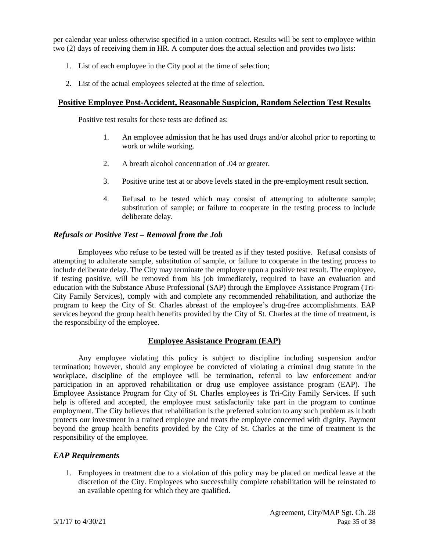per calendar year unless otherwise specified in a union contract. Results will be sent to employee within two (2) days of receiving them in HR. A computer does the actual selection and provides two lists:

- 1. List of each employee in the City pool at the time of selection;
- 2. List of the actual employees selected at the time of selection.

#### **Positive Employee Post-Accident, Reasonable Suspicion, Random Selection Test Results**

Positive test results for these tests are defined as:

- 1. An employee admission that he has used drugs and/or alcohol prior to reporting to work or while working.
- 2. A breath alcohol concentration of .04 or greater.
- 3. Positive urine test at or above levels stated in the pre-employment result section.
- 4. Refusal to be tested which may consist of attempting to adulterate sample; substitution of sample; or failure to cooperate in the testing process to include deliberate delay.

#### *Refusals or Positive Test – Removal from the Job*

Employees who refuse to be tested will be treated as if they tested positive. Refusal consists of attempting to adulterate sample, substitution of sample, or failure to cooperate in the testing process to include deliberate delay. The City may terminate the employee upon a positive test result. The employee, if testing positive, will be removed from his job immediately, required to have an evaluation and education with the Substance Abuse Professional (SAP) through the Employee Assistance Program (Tri-City Family Services), comply with and complete any recommended rehabilitation, and authorize the program to keep the City of St. Charles abreast of the employee's drug-free accomplishments. EAP services beyond the group health benefits provided by the City of St. Charles at the time of treatment, is the responsibility of the employee.

### **Employee Assistance Program (EAP)**

Any employee violating this policy is subject to discipline including suspension and/or termination; however, should any employee be convicted of violating a criminal drug statute in the workplace, discipline of the employee will be termination, referral to law enforcement and/or participation in an approved rehabilitation or drug use employee assistance program (EAP). The Employee Assistance Program for City of St. Charles employees is Tri-City Family Services. If such help is offered and accepted, the employee must satisfactorily take part in the program to continue employment. The City believes that rehabilitation is the preferred solution to any such problem as it both protects our investment in a trained employee and treats the employee concerned with dignity. Payment beyond the group health benefits provided by the City of St. Charles at the time of treatment is the responsibility of the employee.

#### *EAP Requirements*

1. Employees in treatment due to a violation of this policy may be placed on medical leave at the discretion of the City. Employees who successfully complete rehabilitation will be reinstated to an available opening for which they are qualified.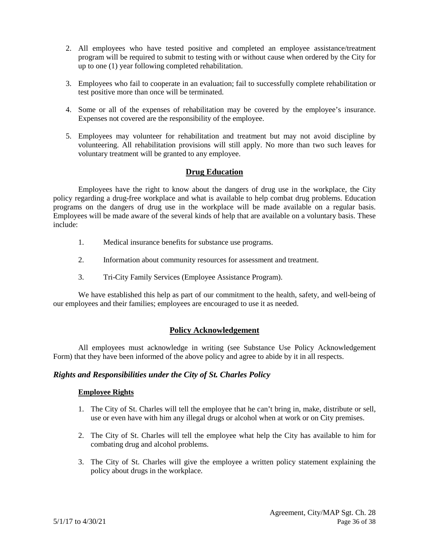- 2. All employees who have tested positive and completed an employee assistance/treatment program will be required to submit to testing with or without cause when ordered by the City for up to one (1) year following completed rehabilitation.
- 3. Employees who fail to cooperate in an evaluation; fail to successfully complete rehabilitation or test positive more than once will be terminated.
- 4. Some or all of the expenses of rehabilitation may be covered by the employee's insurance. Expenses not covered are the responsibility of the employee.
- 5. Employees may volunteer for rehabilitation and treatment but may not avoid discipline by volunteering. All rehabilitation provisions will still apply. No more than two such leaves for voluntary treatment will be granted to any employee.

#### **Drug Education**

Employees have the right to know about the dangers of drug use in the workplace, the City policy regarding a drug-free workplace and what is available to help combat drug problems. Education programs on the dangers of drug use in the workplace will be made available on a regular basis. Employees will be made aware of the several kinds of help that are available on a voluntary basis. These include:

- 1. Medical insurance benefits for substance use programs.
- 2. Information about community resources for assessment and treatment.
- 3. Tri-City Family Services (Employee Assistance Program).

We have established this help as part of our commitment to the health, safety, and well-being of our employees and their families; employees are encouraged to use it as needed.

#### **Policy Acknowledgement**

All employees must acknowledge in writing (see Substance Use Policy Acknowledgement Form) that they have been informed of the above policy and agree to abide by it in all respects.

#### *Rights and Responsibilities under the City of St. Charles Policy*

#### **Employee Rights**

- 1. The City of St. Charles will tell the employee that he can't bring in, make, distribute or sell, use or even have with him any illegal drugs or alcohol when at work or on City premises.
- 2. The City of St. Charles will tell the employee what help the City has available to him for combating drug and alcohol problems.
- 3. The City of St. Charles will give the employee a written policy statement explaining the policy about drugs in the workplace.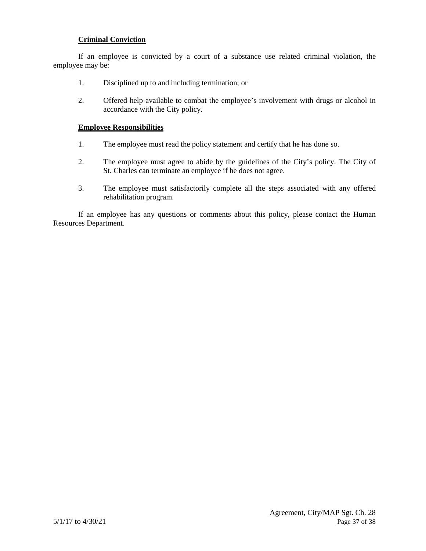#### **Criminal Conviction**

If an employee is convicted by a court of a substance use related criminal violation, the employee may be:

- 1. Disciplined up to and including termination; or
- 2. Offered help available to combat the employee's involvement with drugs or alcohol in accordance with the City policy.

#### **Employee Responsibilities**

- 1. The employee must read the policy statement and certify that he has done so.
- 2. The employee must agree to abide by the guidelines of the City's policy. The City of St. Charles can terminate an employee if he does not agree.
- 3. The employee must satisfactorily complete all the steps associated with any offered rehabilitation program.

If an employee has any questions or comments about this policy, please contact the Human Resources Department.